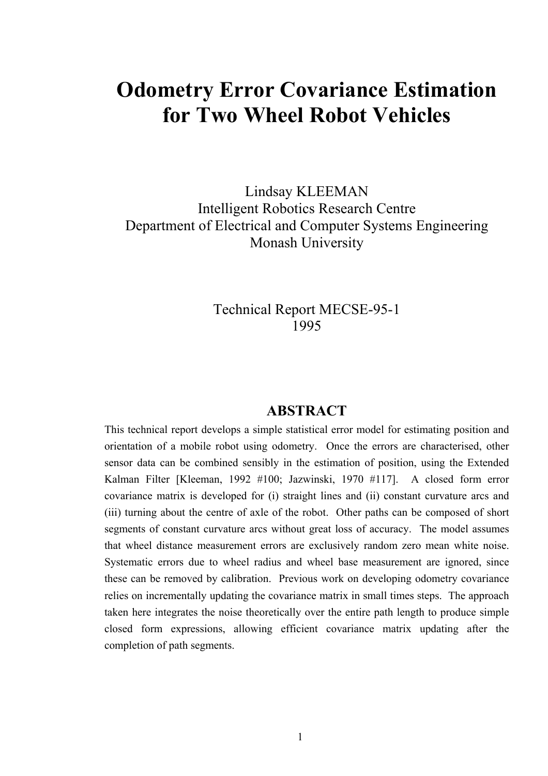# **Odometry Error Covariance Estimation for Two Wheel Robot Vehicles**

Lindsay KLEEMAN Intelligent Robotics Research Centre Department of Electrical and Computer Systems Engineering Monash University

> Technical Report MECSE-95-1 1995

## **ABSTRACT**

This technical report develops a simple statistical error model for estimating position and orientation of a mobile robot using odometry. Once the errors are characterised, other sensor data can be combined sensibly in the estimation of position, using the Extended Kalman Filter [Kleeman, 1992 #100; Jazwinski, 1970 #117]. A closed form error covariance matrix is developed for (i) straight lines and (ii) constant curvature arcs and (iii) turning about the centre of axle of the robot. Other paths can be composed of short segments of constant curvature arcs without great loss of accuracy. The model assumes that wheel distance measurement errors are exclusively random zero mean white noise. Systematic errors due to wheel radius and wheel base measurement are ignored, since these can be removed by calibration. Previous work on developing odometry covariance relies on incrementally updating the covariance matrix in small times steps. The approach taken here integrates the noise theoretically over the entire path length to produce simple closed form expressions, allowing efficient covariance matrix updating after the completion of path segments.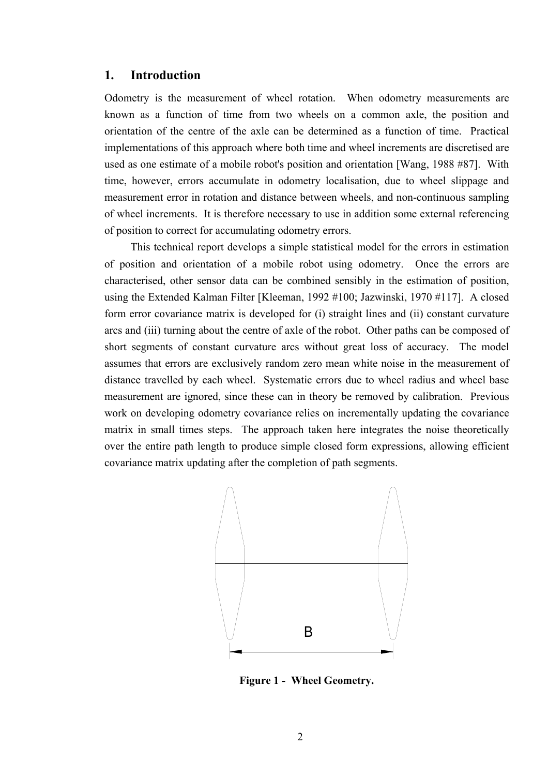#### **1. Introduction**

Odometry is the measurement of wheel rotation. When odometry measurements are known as a function of time from two wheels on a common axle, the position and orientation of the centre of the axle can be determined as a function of time. Practical implementations of this approach where both time and wheel increments are discretised are used as one estimate of a mobile robot's position and orientation [Wang, 1988 #87]. With time, however, errors accumulate in odometry localisation, due to wheel slippage and measurement error in rotation and distance between wheels, and non-continuous sampling of wheel increments. It is therefore necessary to use in addition some external referencing of position to correct for accumulating odometry errors.

This technical report develops a simple statistical model for the errors in estimation of position and orientation of a mobile robot using odometry. Once the errors are characterised, other sensor data can be combined sensibly in the estimation of position, using the Extended Kalman Filter [Kleeman, 1992 #100; Jazwinski, 1970 #117]. A closed form error covariance matrix is developed for (i) straight lines and (ii) constant curvature arcs and (iii) turning about the centre of axle of the robot. Other paths can be composed of short segments of constant curvature arcs without great loss of accuracy. The model assumes that errors are exclusively random zero mean white noise in the measurement of distance travelled by each wheel. Systematic errors due to wheel radius and wheel base measurement are ignored, since these can in theory be removed by calibration. Previous work on developing odometry covariance relies on incrementally updating the covariance matrix in small times steps. The approach taken here integrates the noise theoretically over the entire path length to produce simple closed form expressions, allowing efficient covariance matrix updating after the completion of path segments.



**Figure 1 - Wheel Geometry.**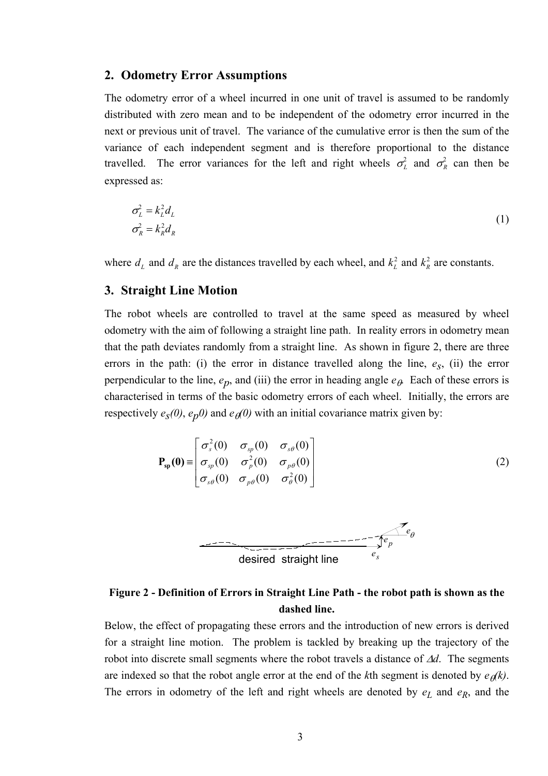#### **2. Odometry Error Assumptions**

The odometry error of a wheel incurred in one unit of travel is assumed to be randomly distributed with zero mean and to be independent of the odometry error incurred in the next or previous unit of travel. The variance of the cumulative error is then the sum of the variance of each independent segment and is therefore proportional to the distance travelled. The error variances for the left and right wheels  $\sigma_L^2$  and  $\sigma_R^2$  can then be expressed as:

$$
\sigma_L^2 = k_L^2 d_L
$$
  
\n
$$
\sigma_R^2 = k_R^2 d_R
$$
\n(1)

where  $d_L$  and  $d_R$  are the distances travelled by each wheel, and  $k_L^2$  and  $k_R^2$  are constants. *R* 2

## **3. Straight Line Motion**

The robot wheels are controlled to travel at the same speed as measured by wheel odometry with the aim of following a straight line path. In reality errors in odometry mean that the path deviates randomly from a straight line. As shown in figure 2, there are three errors in the path: (i) the error in distance travelled along the line,  $e_s$ , (ii) the error perpendicular to the line,  $e_p$ , and (iii) the error in heading angle  $e_\theta$ . Each of these errors is characterised in terms of the basic odometry errors of each wheel. Initially, the errors are respectively  $e_s(0)$ ,  $e_p(0)$  and  $e_{\theta}(0)$  with an initial covariance matrix given by:

$$
\mathbf{P}_{\rm sp}(\mathbf{0}) \equiv \begin{bmatrix} \sigma_s^2(0) & \sigma_{sp}(0) & \sigma_{s\theta}(0) \\ \sigma_{sp}(0) & \sigma_p^2(0) & \sigma_{p\theta}(0) \\ \sigma_{s\theta}(0) & \sigma_{p\theta}(0) & \sigma_{\theta}^2(0) \end{bmatrix}
$$
(2)



## **Figure 2 - Definition of Errors in Straight Line Path - the robot path is shown as the dashed line.**

Below, the effect of propagating these errors and the introduction of new errors is derived for a straight line motion. The problem is tackled by breaking up the trajectory of the robot into discrete small segments where the robot travels a distance of ∆*d*. The segments are indexed so that the robot angle error at the end of the *k*th segment is denoted by  $e_{\theta}(k)$ . The errors in odometry of the left and right wheels are denoted by  $e_L$  and  $e_R$ , and the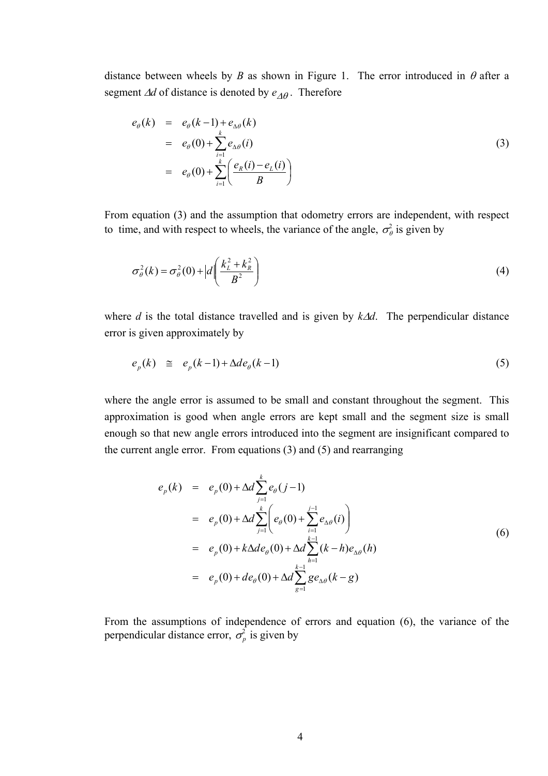distance between wheels by *B* as shown in Figure 1. The error introduced in  $\theta$  after a segment ∆*d* of distance is denoted by  $e_{\Delta\theta}$ . Therefore

$$
e_{\theta}(k) = e_{\theta}(k-1) + e_{\Delta\theta}(k)
$$
  
=  $e_{\theta}(0) + \sum_{i=1}^{k} e_{\Delta\theta}(i)$   
=  $e_{\theta}(0) + \sum_{i=1}^{k} \left( \frac{e_R(i) - e_L(i)}{B} \right)$  (3)

From equation (3) and the assumption that odometry errors are independent, with respect to time, and with respect to wheels, the variance of the angle,  $\sigma_{\theta}^2$  is given by

$$
\sigma_{\theta}^{2}(k) = \sigma_{\theta}^{2}(0) + |d| \left( \frac{k_L^2 + k_R^2}{B^2} \right)
$$
 (4)

where *d* is the total distance travelled and is given by *k*∆*d*. The perpendicular distance error is given approximately by

$$
e_p(k) \quad \cong \quad e_p(k-1) + \Delta d e_\theta(k-1) \tag{5}
$$

where the angle error is assumed to be small and constant throughout the segment. This approximation is good when angle errors are kept small and the segment size is small enough so that new angle errors introduced into the segment are insignificant compared to the current angle error. From equations (3) and (5) and rearranging

$$
e_p(k) = e_p(0) + \Delta d \sum_{j=1}^k e_{\theta}(j-1)
$$
  
=  $e_p(0) + \Delta d \sum_{j=1}^k \left( e_{\theta}(0) + \sum_{i=1}^{j-1} e_{\Delta \theta}(i) \right)$   
=  $e_p(0) + k \Delta d e_{\theta}(0) + \Delta d \sum_{h=1}^{k-1} (k-h) e_{\Delta \theta}(h)$   
=  $e_p(0) + d e_{\theta}(0) + \Delta d \sum_{g=1}^{k-1} g e_{\Delta \theta}(k-g)$  (6)

From the assumptions of independence of errors and equation (6), the variance of the perpendicular distance error,  $\sigma_p^2$  is given by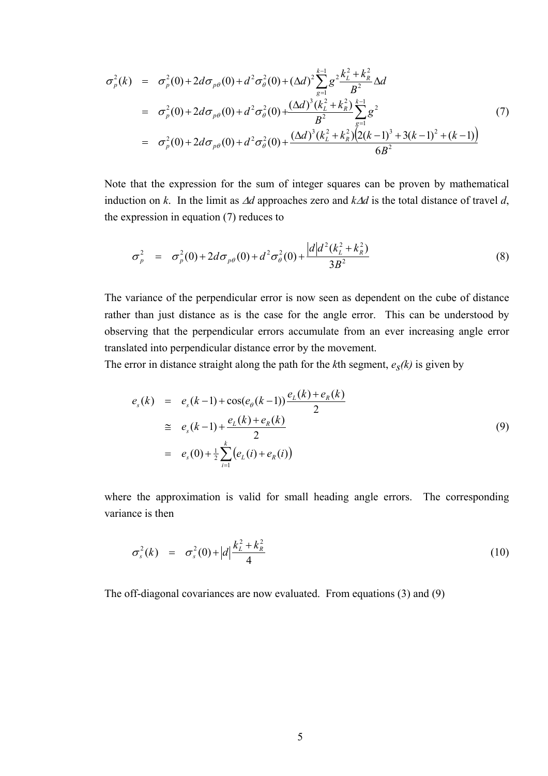$$
\sigma_p^2(k) = \sigma_p^2(0) + 2d\sigma_{p\theta}(0) + d^2\sigma_\theta^2(0) + (\Delta d)^2 \sum_{g=1}^{k-1} g^2 \frac{k_L^2 + k_R^2}{B^2} \Delta d
$$
  
\n
$$
= \sigma_p^2(0) + 2d\sigma_{p\theta}(0) + d^2\sigma_\theta^2(0) + \frac{(\Delta d)^3 (k_L^2 + k_R^2)}{B^2} \sum_{g=1}^{k-1} g^2
$$
(7)  
\n
$$
= \sigma_p^2(0) + 2d\sigma_{p\theta}(0) + d^2\sigma_\theta^2(0) + \frac{(\Delta d)^3 (k_L^2 + k_R^2)(2(k-1)^3 + 3(k-1)^2 + (k-1))}{6B^2}
$$

Note that the expression for the sum of integer squares can be proven by mathematical induction on *k*. In the limit as ∆*d* approaches zero and *k*∆*d* is the total distance of travel *d*, the expression in equation (7) reduces to

$$
\sigma_p^2 = \sigma_p^2(0) + 2d\sigma_{p\theta}(0) + d^2\sigma_\theta^2(0) + \frac{|d|d^2(k_L^2 + k_R^2)}{3B^2}
$$
\n(8)

The variance of the perpendicular error is now seen as dependent on the cube of distance rather than just distance as is the case for the angle error. This can be understood by observing that the perpendicular errors accumulate from an ever increasing angle error translated into perpendicular distance error by the movement.

The error in distance straight along the path for the *k*th segment,  $e_s(k)$  is given by

$$
e_s(k) = e_s(k-1) + \cos(e_\theta(k-1)) \frac{e_L(k) + e_R(k)}{2}
$$
  
\n
$$
\approx e_s(k-1) + \frac{e_L(k) + e_R(k)}{2}
$$
  
\n
$$
= e_s(0) + \frac{1}{2} \sum_{i=1}^k (e_L(i) + e_R(i))
$$
\n(9)

where the approximation is valid for small heading angle errors. The corresponding variance is then

$$
\sigma_s^2(k) = \sigma_s^2(0) + |d| \frac{k_L^2 + k_R^2}{4}
$$
\n(10)

The off-diagonal covariances are now evaluated. From equations (3) and (9)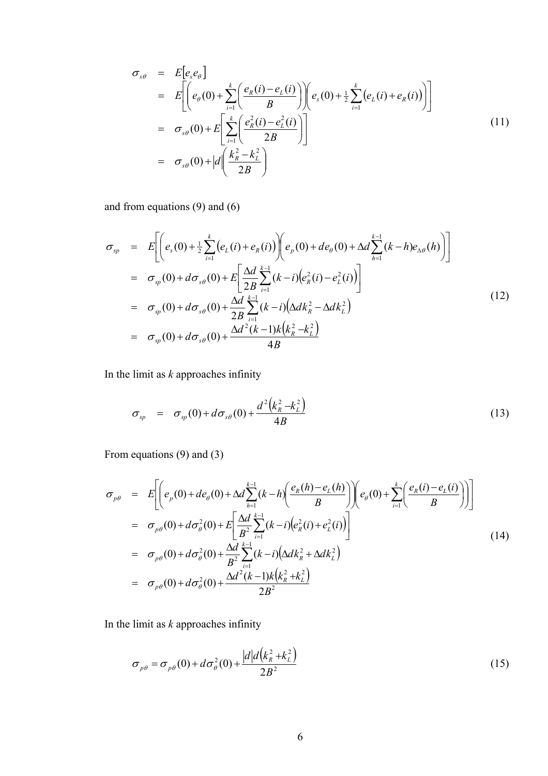$$
\sigma_{s\theta} = E[e_s e_{\theta}]
$$
\n
$$
= E\left[\left(e_{\theta}(0) + \sum_{i=1}^{k} \left(\frac{e_R(i) - e_L(i)}{B}\right)\right) \left(e_s(0) + \frac{1}{2} \sum_{i=1}^{k} \left(e_L(i) + e_R(i)\right)\right)\right]
$$
\n
$$
= \sigma_{s\theta}(0) + E\left[\sum_{i=1}^{k} \left(\frac{e_R^2(i) - e_L^2(i)}{2B}\right)\right]
$$
\n
$$
= \sigma_{s\theta}(0) + |d\left(\frac{k_R^2 - k_L^2}{2B}\right)
$$
\n(11)

and from equations (9) and (6)

$$
\sigma_{sp} = E\left[ \left( e_s(0) + \frac{1}{2} \sum_{i=1}^{k} (e_L(i) + e_R(i)) \right) \left( e_p(0) + de_\theta(0) + \Delta d \sum_{h=1}^{k-1} (k-h) e_{\Delta \theta}(h) \right) \right]
$$
\n
$$
= \sigma_{sp}(0) + d \sigma_{s\theta}(0) + E\left[ \frac{\Delta d}{2B} \sum_{i=1}^{k-1} (k-i) \left( e_R^2(i) - e_L^2(i) \right) \right]
$$
\n
$$
= \sigma_{sp}(0) + d \sigma_{s\theta}(0) + \frac{\Delta d}{2B} \sum_{i=1}^{k-1} (k-i) \left( \Delta d k_R^2 - \Delta d k_L^2 \right)
$$
\n
$$
= \sigma_{sp}(0) + d \sigma_{s\theta}(0) + \frac{\Delta d^2(k-1) k \left( k_R^2 - k_L^2 \right)}{4B} \tag{12}
$$

In the limit as *k* approaches infinity

$$
\sigma_{sp} = \sigma_{sp}(0) + d\sigma_{s\theta}(0) + \frac{d^2(k_R^2 - k_L^2)}{4B} \tag{13}
$$

From equations (9) and (3)

$$
\sigma_{p\theta} = E\left[ \left( e_p(0) + de_\theta(0) + \Delta d \sum_{h=1}^{k-1} (k-h) \left( \frac{e_R(h) - e_L(h)}{B} \right) \right) \left( e_\theta(0) + \sum_{i=1}^k \left( \frac{e_R(i) - e_L(i)}{B} \right) \right) \right]
$$
\n
$$
= \sigma_{p\theta}(0) + d\sigma_\theta^2(0) + E\left[ \frac{\Delta d}{B^2} \sum_{i=1}^{k-1} (k-i) \left( e_R^2(i) + e_L^2(i) \right) \right]
$$
\n
$$
= \sigma_{p\theta}(0) + d\sigma_\theta^2(0) + \frac{\Delta d}{B^2} \sum_{i=1}^{k-1} (k-i) \left( \Delta d k_R^2 + \Delta d k_L^2 \right)
$$
\n
$$
= \sigma_{p\theta}(0) + d\sigma_\theta^2(0) + \frac{\Delta d^2(k-1)k \left( k_R^2 + k_L^2 \right)}{2B^2}
$$
\n(14)

In the limit as *k* approaches infinity

$$
\sigma_{p\theta} = \sigma_{p\theta}(0) + d\sigma_{\theta}^{2}(0) + \frac{|d|d(k_{R}^{2} + k_{L}^{2})}{2B^{2}}
$$
\n(15)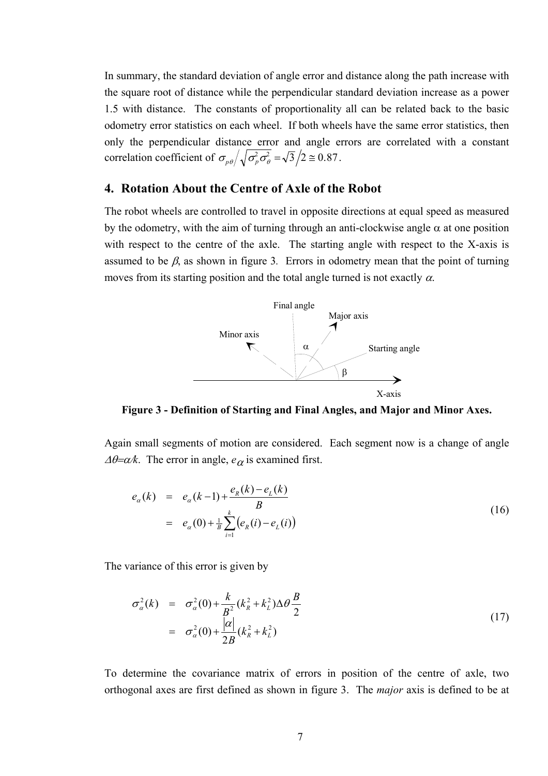In summary, the standard deviation of angle error and distance along the path increase with the square root of distance while the perpendicular standard deviation increase as a power 1.5 with distance. The constants of proportionality all can be related back to the basic odometry error statistics on each wheel. If both wheels have the same error statistics, then only the perpendicular distance error and angle errors are correlated with a constant correlation coefficient of  $\sigma_{p\theta}/\sqrt{\sigma_p^2 \sigma_\theta^2} = \sqrt{3}/2 \approx 0.87$ .

## **4. Rotation About the Centre of Axle of the Robot**

The robot wheels are controlled to travel in opposite directions at equal speed as measured by the odometry, with the aim of turning through an anti-clockwise angle  $\alpha$  at one position with respect to the centre of the axle. The starting angle with respect to the X-axis is assumed to be  $\beta$ , as shown in figure 3. Errors in odometry mean that the point of turning moves from its starting position and the total angle turned is not exactly  $\alpha$ .



**Figure 3 - Definition of Starting and Final Angles, and Major and Minor Axes.** 

Again small segments of motion are considered. Each segment now is a change of angle  $\Delta\theta = \alpha/k$ . The error in angle,  $e_{\alpha}$  is examined first.

$$
e_{\alpha}(k) = e_{\alpha}(k-1) + \frac{e_{R}(k) - e_{L}(k)}{B}
$$
  
=  $e_{\alpha}(0) + \frac{1}{B} \sum_{i=1}^{k} (e_{R}(i) - e_{L}(i))$  (16)

The variance of this error is given by

$$
\sigma_{\alpha}^{2}(k) = \sigma_{\alpha}^{2}(0) + \frac{k}{B^{2}}(k_{R}^{2} + k_{L}^{2})\Delta\theta \frac{B}{2}
$$
\n
$$
= \sigma_{\alpha}^{2}(0) + \frac{|\alpha|}{2B}(k_{R}^{2} + k_{L}^{2})
$$
\n(17)

To determine the covariance matrix of errors in position of the centre of axle, two orthogonal axes are first defined as shown in figure 3. The *major* axis is defined to be at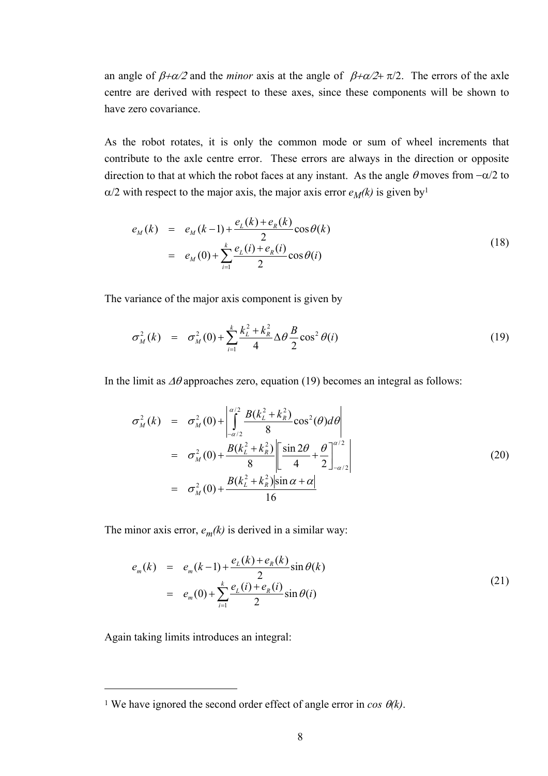an angle of  $\beta + \alpha/2$  and the *minor* axis at the angle of  $\beta + \alpha/2 + \pi/2$ . The errors of the axle centre are derived with respect to these axes, since these components will be shown to have zero covariance.

As the robot rotates, it is only the common mode or sum of wheel increments that contribute to the axle centre error. These errors are always in the direction or opposite direction to that at which the robot faces at any instant. As the angle  $\theta$  moves from  $-\alpha/2$  to  $\alpha/2$  with respect to the major axis, the major axis error  $e_M(k)$  is given by<sup>1</sup>

$$
e_M(k) = e_M(k-1) + \frac{e_L(k) + e_R(k)}{2}\cos\theta(k)
$$
  
=  $e_M(0) + \sum_{i=1}^k \frac{e_L(i) + e_R(i)}{2}\cos\theta(i)$  (18)

The variance of the major axis component is given by

$$
\sigma_M^2(k) = \sigma_M^2(0) + \sum_{i=1}^k \frac{k_L^2 + k_R^2}{4} \Delta \theta \frac{B}{2} \cos^2 \theta(i)
$$
 (19)

In the limit as  $\Delta\theta$  approaches zero, equation (19) becomes an integral as follows:

$$
\sigma_M^2(k) = \sigma_M^2(0) + \left| \int_{-a/2}^{a/2} \frac{B(k_L^2 + k_R^2)}{8} \cos^2(\theta) d\theta \right|
$$
  
\n
$$
= \sigma_M^2(0) + \frac{B(k_L^2 + k_R^2)}{8} \left[ \frac{\sin 2\theta}{4} + \frac{\theta}{2} \right]_{-a/2}^{a/2}
$$
  
\n
$$
= \sigma_M^2(0) + \frac{B(k_L^2 + k_R^2) |\sin \alpha + \alpha|}{16}
$$
 (20)

The minor axis error,  $e_m(k)$  is derived in a similar way:

$$
e_m(k) = e_m(k-1) + \frac{e_L(k) + e_R(k)}{2} \sin \theta(k)
$$
  
=  $e_m(0) + \sum_{i=1}^k \frac{e_L(i) + e_R(i)}{2} \sin \theta(i)$  (21)

Again taking limits introduces an integral:

 $\overline{a}$ 

<span id="page-7-0"></span><sup>&</sup>lt;sup>1</sup> We have ignored the second order effect of angle error in  $\cos \theta$ *(k)*.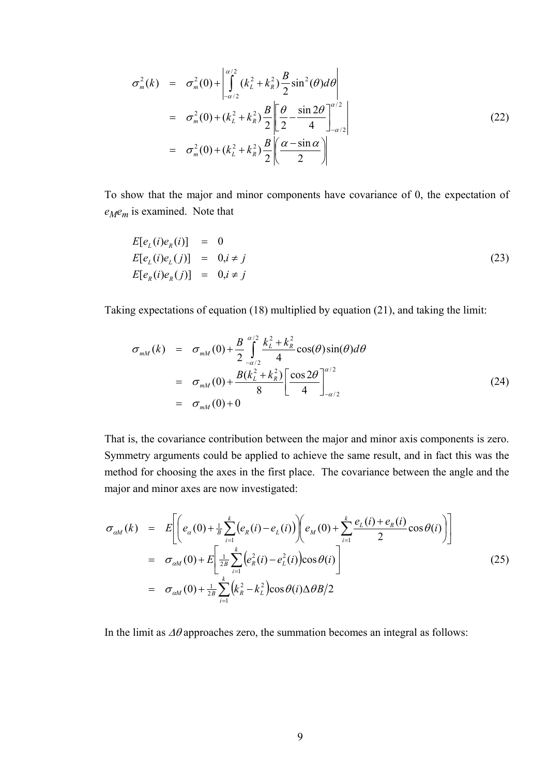$$
\sigma_m^2(k) = \sigma_m^2(0) + \left| \int_{-\alpha/2}^{\alpha/2} (k_L^2 + k_R^2) \frac{B}{2} \sin^2(\theta) d\theta \right|
$$
  
\n
$$
= \sigma_m^2(0) + (k_L^2 + k_R^2) \frac{B}{2} \left| \frac{\theta}{2} - \frac{\sin 2\theta}{4} \right|_{-\alpha/2}^{\alpha/2}
$$
  
\n
$$
= \sigma_m^2(0) + (k_L^2 + k_R^2) \frac{B}{2} \left| \frac{\alpha - \sin \alpha}{2} \right|
$$
 (22)

To show that the major and minor components have covariance of 0, the expectation of *eMem* is examined. Note that

$$
E[e_L(i)e_R(i)] = 0
$$
  
\n
$$
E[e_L(i)e_L(j)] = 0, i \neq j
$$
  
\n
$$
E[e_R(i)e_R(j)] = 0, i \neq j
$$
\n(23)

Taking expectations of equation (18) multiplied by equation (21), and taking the limit:

$$
\sigma_{mM}(k) = \sigma_{mM}(0) + \frac{B}{2} \int_{-a/2}^{a/2} \frac{k_L^2 + k_R^2}{4} \cos(\theta) \sin(\theta) d\theta
$$
  
\n
$$
= \sigma_{mM}(0) + \frac{B(k_L^2 + k_R^2)}{8} \left[ \frac{\cos 2\theta}{4} \right]_{-a/2}^{a/2}
$$
  
\n
$$
= \sigma_{mM}(0) + 0
$$
\n(24)

That is, the covariance contribution between the major and minor axis components is zero. Symmetry arguments could be applied to achieve the same result, and in fact this was the method for choosing the axes in the first place. The covariance between the angle and the major and minor axes are now investigated:

$$
\sigma_{\alpha M}(k) = E\left[ \left( e_{\alpha}(0) + \frac{1}{B} \sum_{i=1}^{k} (e_{R}(i) - e_{L}(i)) \right) \left( e_{M}(0) + \sum_{i=1}^{k} \frac{e_{L}(i) + e_{R}(i)}{2} \cos \theta(i) \right) \right]
$$
  
\n
$$
= \sigma_{\alpha M}(0) + E\left[ \frac{1}{2B} \sum_{i=1}^{k} (e_{R}^{2}(i) - e_{L}^{2}(i)) \cos \theta(i) \right]
$$
  
\n
$$
= \sigma_{\alpha M}(0) + \frac{1}{2B} \sum_{i=1}^{k} (k_{R}^{2} - k_{L}^{2}) \cos \theta(i) \Delta \theta B/2
$$
\n(25)

In the limit as  $\Delta\theta$  approaches zero, the summation becomes an integral as follows: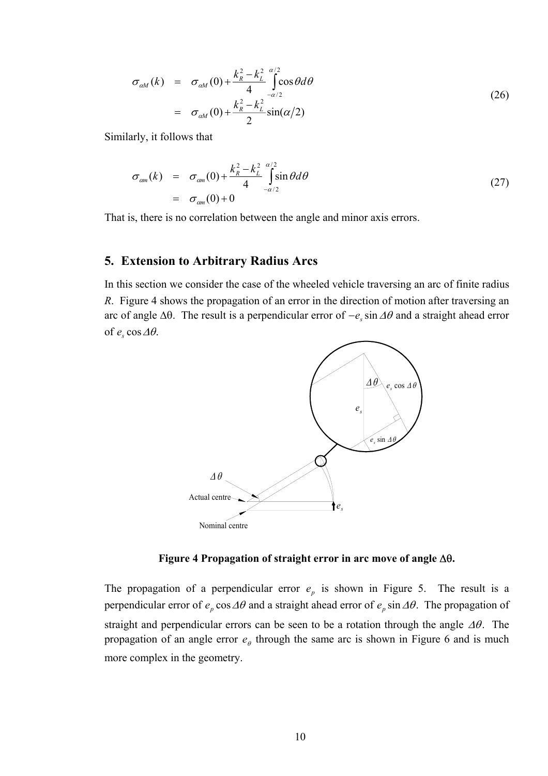$$
\sigma_{\alpha M}(k) = \sigma_{\alpha M}(0) + \frac{k_R^2 - k_L^2}{4} \int_{-\alpha/2}^{\alpha/2} \cos \theta d\theta
$$
\n
$$
= \sigma_{\alpha M}(0) + \frac{k_R^2 - k_L^2}{2} \sin(\alpha/2)
$$
\n(26)

Similarly, it follows that

$$
\sigma_{cm}(k) = \sigma_{cm}(0) + \frac{k_R^2 - k_L^2}{4} \int_{-a/2}^{a/2} \sin \theta d\theta
$$
\n
$$
= \sigma_{cm}(0) + 0 \tag{27}
$$

That is, there is no correlation between the angle and minor axis errors.

## **5. Extension to Arbitrary Radius Arcs**

In this section we consider the case of the wheeled vehicle traversing an arc of finite radius *R*. Figure 4 shows the propagation of an error in the direction of motion after traversing an arc of angle ∆θ. The result is a perpendicular error of −*es* sin∆θ and a straight ahead error of  $e_s \cos \Delta \theta$ .



**Figure 4 Propagation of straight error in arc move of angle** ∆θ**.** 

The propagation of a perpendicular error  $e_p$  is shown in Figure 5. The result is a perpendicular error of  $e_p \cos \Delta \theta$  and a straight ahead error of  $e_p \sin \Delta \theta$ . The propagation of straight and perpendicular errors can be seen to be a rotation through the angle  $\Delta\theta$ . The propagation of an angle error  $e_{\theta}$  through the same arc is shown in Figure 6 and is much more complex in the geometry.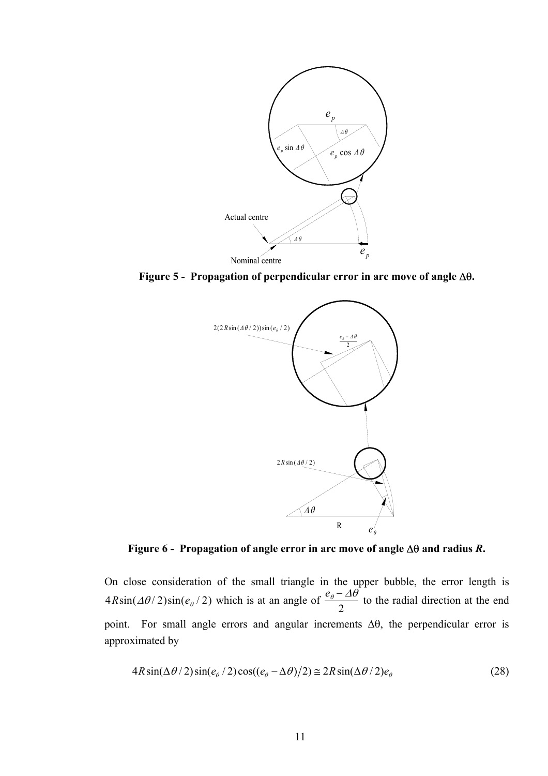

**Figure 5 - Propagation of perpendicular error in arc move of angle** ∆θ**.** 



**Figure 6 - Propagation of angle error in arc move of angle** ∆θ **and radius** *R***.** 

On close consideration of the small triangle in the upper bubble, the error length is  $4 R \sin(\Delta \theta / 2) \sin(e_{\theta} / 2)$  which is at an angle of  $\frac{e_{\theta} - \Delta \theta}{2}$ 2 to the radial direction at the end point. For small angle errors and angular increments ∆θ, the perpendicular error is approximated by

$$
4R\sin(\Delta\theta/2)\sin(e_{\theta}/2)\cos((e_{\theta}-\Delta\theta)/2) \approx 2R\sin(\Delta\theta/2)e_{\theta}
$$
 (28)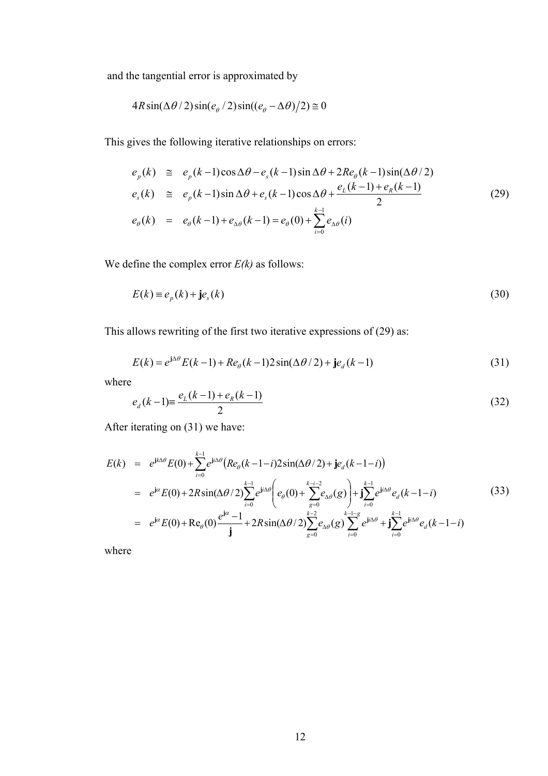and the tangential error is approximated by

$$
4R\sin(\Delta\theta/2)\sin(e_{\theta}/2)\sin((e_{\theta}-\Delta\theta)/2)\approx 0
$$

This gives the following iterative relationships on errors:

$$
e_p(k) \cong e_p(k-1)\cos\Delta\theta - e_s(k-1)\sin\Delta\theta + 2Re_\theta(k-1)\sin(\Delta\theta/2)
$$
  
\n
$$
e_s(k) \cong e_p(k-1)\sin\Delta\theta + e_s(k-1)\cos\Delta\theta + \frac{e_L(k-1) + e_R(k-1)}{2}
$$
  
\n
$$
e_\theta(k) = e_\theta(k-1) + e_{\Delta\theta}(k-1) = e_\theta(0) + \sum_{i=0}^{k-1} e_{\Delta\theta}(i)
$$
\n(29)

We define the complex error *E(k)* as follows:

$$
E(k) \equiv e_p(k) + j e_s(k)
$$
\n(30)

This allows rewriting of the first two iterative expressions of (29) as:

$$
E(k) = e^{j\Delta\theta} E(k-1) + Re_{\theta}(k-1)2\sin(\Delta\theta/2) + je_{d}(k-1)
$$
\n(31)

where

$$
e_a(k-1) = \frac{e_L(k-1) + e_R(k-1)}{2} \tag{32}
$$

After iterating on (31) we have:

$$
E(k) = e^{jk\Delta\theta} E(0) + \sum_{i=0}^{k-1} e^{ji\Delta\theta} (Re_{\theta}(k-1-i)2\sin(\Delta\theta/2) + j e_{d}(k-1-i))
$$
  
\n
$$
= e^{j\alpha} E(0) + 2R\sin(\Delta\theta/2) \sum_{i=0}^{k-1} e^{ji\Delta\theta} \left( e_{\theta}(0) + \sum_{g=0}^{k-i-2} e_{\Delta\theta}(g) \right) + j \sum_{i=0}^{k-1} e^{ji\Delta\theta} e_{d}(k-1-i)
$$
(33)  
\n
$$
= e^{j\alpha} E(0) + \text{Re}_{\theta}(0) \frac{e^{j\alpha} - 1}{j} + 2R\sin(\Delta\theta/2) \sum_{g=0}^{k-2} e_{\Delta\theta}(g) \sum_{i=0}^{k-1} e^{ji\Delta\theta} + j \sum_{i=0}^{k-1} e^{ji\Delta\theta} e_{d}(k-1-i)
$$

where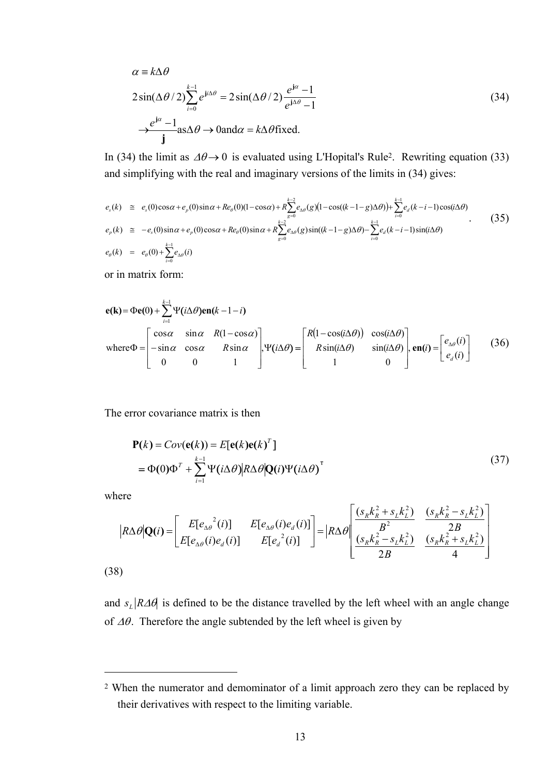$$
\alpha = k\Delta\theta
$$
  
\n
$$
2\sin(\Delta\theta/2)\sum_{i=0}^{k-1} e^{ji\Delta\theta} = 2\sin(\Delta\theta/2)\frac{e^{j\alpha}-1}{e^{j\Delta\theta}-1}
$$
  
\n
$$
\rightarrow \frac{e^{j\alpha}-1}{j} \text{as}\Delta\theta \rightarrow 0 \text{and}\alpha = k\Delta\theta \text{fixed.}
$$
\n(34)

In (34) the limit as  $\Delta\theta \rightarrow 0$  is evaluated using L'Hopital's Rule<sup>2</sup>. Rewriting equation (33) and simplifying with the real and imaginary versions of the limits in (34) gives:

$$
e_{s}(k) \cong e_{s}(0)\cos\alpha + e_{p}(0)\sin\alpha + Re_{\theta}(0)(1-\cos\alpha) + R\sum_{g=0}^{k-2}e_{\Delta\theta}(g)(1-\cos((k-1-g)\Delta\theta)) + \sum_{i=0}^{k-1}e_{d}(k-i-1)\cos(i\Delta\theta)
$$
  
\n
$$
e_{p}(k) \cong -e_{s}(0)\sin\alpha + e_{p}(0)\cos\alpha + Re_{\theta}(0)\sin\alpha + R\sum_{g=0}^{k-2}e_{\Delta\theta}(g)\sin((k-1-g)\Delta\theta) - \sum_{i=0}^{k-1}e_{d}(k-i-1)\sin(i\Delta\theta)
$$
  
\n
$$
e_{\theta}(k) = e_{\theta}(0) + \sum_{i=0}^{k-1}e_{\Delta\theta}(i)
$$
\n(35)

or in matrix form:

$$
\mathbf{e}(\mathbf{k}) = \Phi\mathbf{e}(0) + \sum_{i=1}^{k-1} \Psi(i\Delta\theta)\mathbf{e}\mathbf{n}(k-1-i)
$$
\nwhere\n
$$
\Phi = \begin{bmatrix}\n\cos\alpha & \sin\alpha & R(1-\cos\alpha) \\
-\sin\alpha & \cos\alpha & R\sin\alpha \\
0 & 0 & 1\n\end{bmatrix},\n\Psi(i\Delta\theta) = \begin{bmatrix}\nR(1-\cos(i\Delta\theta)) & \cos(i\Delta\theta) \\
R\sin(i\Delta\theta) & \sin(i\Delta\theta) \\
1 & 0\n\end{bmatrix},\n\mathbf{e}\mathbf{n}(i) = \begin{bmatrix}\ne_{\Delta\theta}(i) \\
e_a(i)\n\end{bmatrix} \tag{36}
$$

The error covariance matrix is then

$$
\mathbf{P}(k) = Cov(\mathbf{e}(k)) = E[\mathbf{e}(k)\mathbf{e}(k)^{T}]
$$
  
=  $\Phi(0)\Phi^{T} + \sum_{i=1}^{k-1} \Psi(i\Delta\theta) R \Delta \theta [\mathbf{Q}(i)\Psi(i\Delta\theta)]^{T}$  (37)

where

 $\overline{a}$ 

$$
|R\Delta\theta|Q(i) = \begin{bmatrix} E[e_{\Delta\theta}^{2}(i)] & E[e_{\Delta\theta}(i)e_{d}(i)] \\ E[e_{\Delta\theta}(i)e_{d}(i)] & E[e_{d}^{2}(i)] \end{bmatrix} = |R\Delta\theta| \frac{\frac{(s_{R}k_{R}^{2} + s_{L}k_{L}^{2})}{B^{2}}}{\frac{(s_{R}k_{R}^{2} - s_{L}k_{L}^{2})}{2B}} \frac{\frac{(s_{R}k_{R}^{2} - s_{L}k_{L}^{2})}{2B}}{\frac{(s_{R}k_{R}^{2} + s_{L}k_{L}^{2})}{4}}
$$
\n(38)

and  $s_L | R \Delta \theta$  is defined to be the distance travelled by the left wheel with an angle change of  $\Delta\theta$ . Therefore the angle subtended by the left wheel is given by

<span id="page-12-0"></span><sup>2</sup> When the numerator and demominator of a limit approach zero they can be replaced by their derivatives with respect to the limiting variable.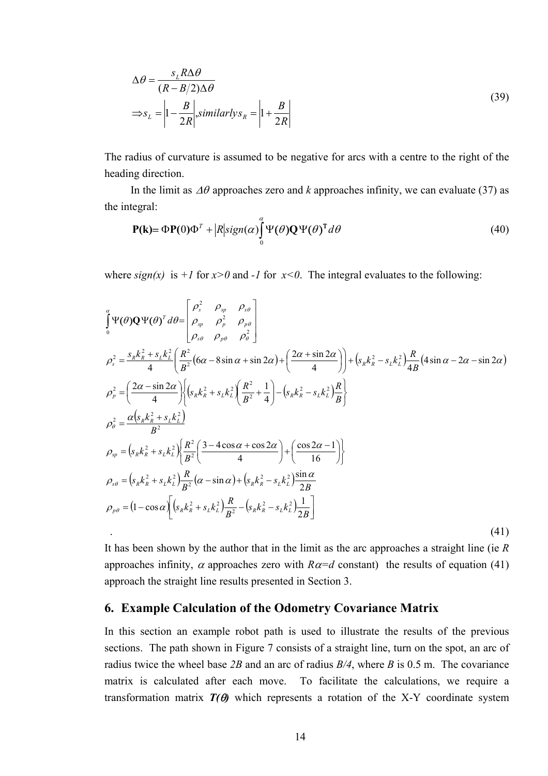$$
\Delta \theta = \frac{s_L R \Delta \theta}{(R - B/2) \Delta \theta}
$$
  
\n
$$
\Rightarrow s_L = \left| 1 - \frac{B}{2R} \right|, similarly s_R = \left| 1 + \frac{B}{2R} \right|
$$
\n(39)

The radius of curvature is assumed to be negative for arcs with a centre to the right of the heading direction.

In the limit as ∆θ approaches zero and *k* approaches infinity, we can evaluate (37) as the integral:

$$
\mathbf{P}(\mathbf{k}) = \Phi \mathbf{P}(0) \Phi^T + |R| \text{sign}(\alpha) \int_{0}^{\alpha} \Psi(\theta) \mathbf{Q} \Psi(\theta)^T d\theta
$$
\n(40)

where  $sign(x)$  is  $+1$  for  $x>0$  and  $-1$  for  $x<0$ . The integral evaluates to the following:

$$
\int_{0}^{\alpha} \Psi(\theta) \mathbf{Q} \Psi(\theta)^{T} d\theta = \begin{bmatrix} \rho_{s}^{2} & \rho_{sp} & \rho_{s\theta} \\ \rho_{sp} & \rho_{p}^{2} & \rho_{p\theta} \\ \rho_{s\theta} & \rho_{p\theta} & \rho_{\theta}^{2} \end{bmatrix}
$$
\n
$$
\rho_{s}^{2} = \frac{s_{R}k_{R}^{2} + s_{L}k_{L}^{2}}{4} \left( \frac{R^{2}}{B^{2}} (6\alpha - 8\sin \alpha + \sin 2\alpha) + \left( \frac{2\alpha + \sin 2\alpha}{4} \right) \right) + \left( s_{R}k_{R}^{2} - s_{L}k_{L}^{2} \right) \frac{R}{4B} (4\sin \alpha - 2\alpha - \sin 2\alpha)
$$
\n
$$
\rho_{p}^{2} = \left( \frac{2\alpha - \sin 2\alpha}{4} \right) \left( \left( s_{R}k_{R}^{2} + s_{L}k_{L}^{2} \right) \frac{R^{2}}{B^{2}} + \frac{1}{4} \right) - \left( s_{R}k_{R}^{2} - s_{L}k_{L}^{2} \right) \frac{R}{B} \right\}
$$
\n
$$
\rho_{\theta}^{2} = \frac{\alpha \left( s_{R}k_{R}^{2} + s_{L}k_{L}^{2} \right)}{B^{2}}
$$
\n
$$
\rho_{sp} = \left( s_{R}k_{R}^{2} + s_{L}k_{L}^{2} \right) \frac{R^{2}}{B^{2}} \left( \frac{3 - 4\cos \alpha + \cos 2\alpha}{4} \right) + \left( \frac{\cos 2\alpha - 1}{16} \right) \right\}
$$
\n
$$
\rho_{s\theta} = \left( s_{R}k_{R}^{2} + s_{L}k_{L}^{2} \right) \frac{R}{B^{2}} (\alpha - \sin \alpha) + \left( s_{R}k_{R}^{2} - s_{L}k_{L}^{2} \right) \frac{\sin \alpha}{2B}
$$
\n
$$
\rho_{p\theta} = (1 - \cos \alpha) \left[ \left( s_{R}k_{R}^{2} + s_{L}k_{L}^{2} \right) \frac{R}{B^{2}} - \left( s_{R}k_{R}^{2} - s
$$

It has been shown by the author that in the limit as the arc approaches a straight line (ie *R* approaches infinity,  $\alpha$  approaches zero with  $R\alpha = d$  constant) the results of equation (41) approach the straight line results presented in Section 3.

#### **6. Example Calculation of the Odometry Covariance Matrix**

In this section an example robot path is used to illustrate the results of the previous sections. The path shown in Figure 7 consists of a straight line, turn on the spot, an arc of radius twice the wheel base *2B* and an arc of radius *B/4*, where *B* is 0.5 m. The covariance matrix is calculated after each move. To facilitate the calculations, we require a transformation matrix  $T(\theta)$  which represents a rotation of the X-Y coordinate system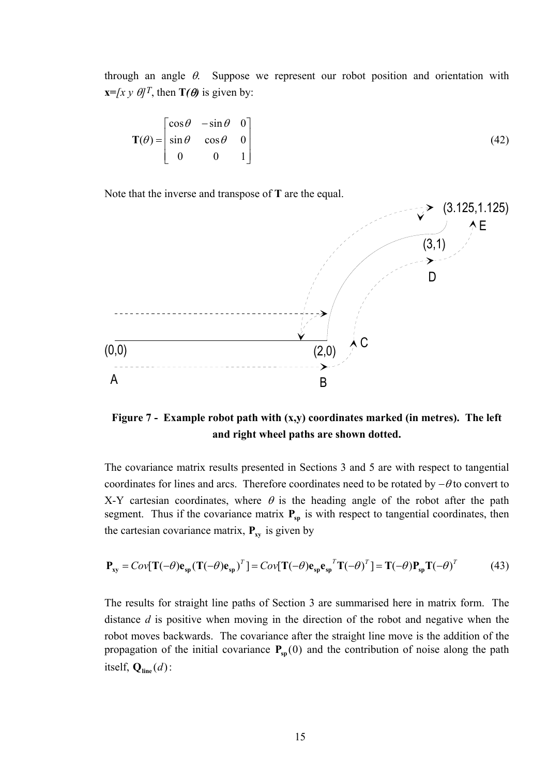through an angle  $\theta$ . Suppose we represent our robot position and orientation with **x**=*[x y*  $\theta$ *]<sup>T</sup>, then T(* $\theta$ *)* is given by:

$$
\mathbf{T}(\theta) = \begin{bmatrix} \cos \theta & -\sin \theta & 0 \\ \sin \theta & \cos \theta & 0 \\ 0 & 0 & 1 \end{bmatrix}
$$
 (42)

Note that the inverse and transpose of **T** are the equal.



**Figure 7 - Example robot path with (x,y) coordinates marked (in metres). The left and right wheel paths are shown dotted.**

The covariance matrix results presented in Sections 3 and 5 are with respect to tangential coordinates for lines and arcs. Therefore coordinates need to be rotated by  $-\theta$  to convert to X-Y cartesian coordinates, where  $\theta$  is the heading angle of the robot after the path segment. Thus if the covariance matrix  $P_{sp}$  is with respect to tangential coordinates, then the cartesian covariance matrix,  $P_{xy}$  is given by

$$
\mathbf{P}_{xy} = Cov[\mathbf{T}(-\theta)\mathbf{e}_{sp}(\mathbf{T}(-\theta)\mathbf{e}_{sp})^T] = Cov[\mathbf{T}(-\theta)\mathbf{e}_{sp}\mathbf{e}_{sp}^T\mathbf{T}(-\theta)^T] = \mathbf{T}(-\theta)\mathbf{P}_{sp}\mathbf{T}(-\theta)^T
$$
(43)

The results for straight line paths of Section 3 are summarised here in matrix form. The distance *d* is positive when moving in the direction of the robot and negative when the robot moves backwards. The covariance after the straight line move is the addition of the propagation of the initial covariance  $P_{sp}(0)$  and the contribution of noise along the path itself,  $Q_{\text{line}}(d)$ :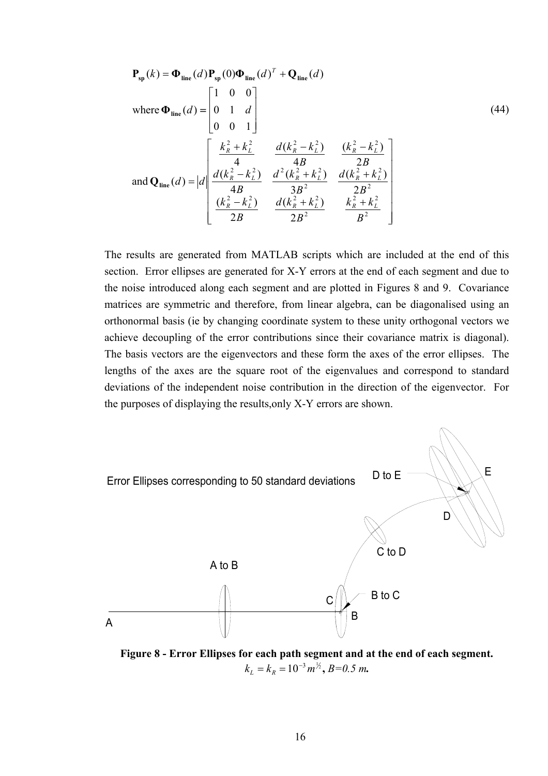$$
\mathbf{P}_{sp}(k) = \mathbf{\Phi}_{line}(d) \mathbf{P}_{sp}(0) \mathbf{\Phi}_{line}(d)^{T} + \mathbf{Q}_{line}(d)
$$
\nwhere  $\mathbf{\Phi}_{line}(d) = \begin{bmatrix} 1 & 0 & 0 \\ 0 & 1 & d \\ 0 & 0 & 1 \end{bmatrix}$  (44)  
\nand  $\mathbf{Q}_{line}(d) = |d| \begin{bmatrix} \frac{k_{R}^{2} + k_{L}^{2}}{4} & \frac{d(k_{R}^{2} - k_{L}^{2})}{4B} & \frac{(k_{R}^{2} - k_{L}^{2})}{2B} \\ \frac{d(k_{R}^{2} - k_{L}^{2})}{4B} & \frac{d^{2}(k_{R}^{2} + k_{L}^{2})}{3B^{2}} & \frac{d(k_{R}^{2} + k_{L}^{2})}{2B^{2}} \\ \frac{(k_{R}^{2} - k_{L}^{2})}{2B} & \frac{d(k_{R}^{2} + k_{L}^{2})}{2B^{2}} & \frac{k_{R}^{2} + k_{L}^{2}}{B^{2}} \end{bmatrix}$ 

The results are generated from MATLAB scripts which are included at the end of this section. Error ellipses are generated for X-Y errors at the end of each segment and due to the noise introduced along each segment and are plotted in Figures 8 and 9. Covariance matrices are symmetric and therefore, from linear algebra, can be diagonalised using an orthonormal basis (ie by changing coordinate system to these unity orthogonal vectors we achieve decoupling of the error contributions since their covariance matrix is diagonal). The basis vectors are the eigenvectors and these form the axes of the error ellipses. The lengths of the axes are the square root of the eigenvalues and correspond to standard deviations of the independent noise contribution in the direction of the eigenvector. For the purposes of displaying the results,only X-Y errors are shown.



**Figure 8 - Error Ellipses for each path segment and at the end of each segment.**   $k_L = k_R = 10^{-3} m^{\frac{1}{2}}$ , *B*=0.5 *m*.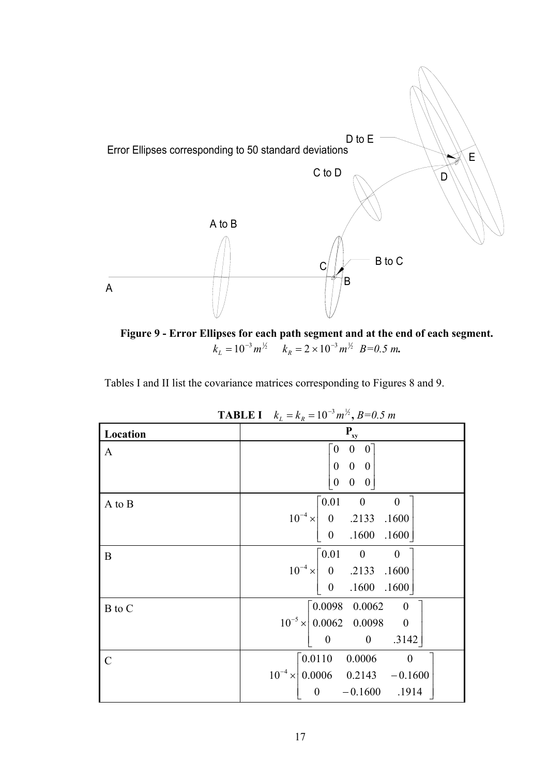

**Figure 9 - Error Ellipses for each path segment and at the end of each segment.**   $k_L = 10^{-3} m^{1/2}$   $k_R = 2 \times 10^{-3} m^{1/2}$   $B=0.5$  m.

Tables I and II list the covariance matrices corresponding to Figures 8 and 9.

| <b>IABLE I</b> $K_L = K_R = 10^{\circ} m^3$ , $B=0.5 m$ |                                                                             |  |  |
|---------------------------------------------------------|-----------------------------------------------------------------------------|--|--|
| Location                                                | $P_{xy}$                                                                    |  |  |
| $\mathbf{A}$                                            | $\boldsymbol{0}$<br>$\overline{0}$<br>$\boldsymbol{0}$                      |  |  |
|                                                         | $\begin{matrix} 0 & 0 & 0 \end{matrix}$                                     |  |  |
|                                                         | $\boldsymbol{0}$<br>$\mathbf{0}$<br>$\overline{0}$                          |  |  |
| A to B                                                  | $\lceil 0.01 \rceil$<br>$\overline{\phantom{0}}$<br>$\overline{\mathbf{0}}$ |  |  |
|                                                         | $10^{-4} \times$<br>0 .2133 .1600                                           |  |  |
|                                                         | .1600 .1600<br>$\boldsymbol{0}$                                             |  |  |
| B                                                       | $\lceil 0.01 \rceil$<br>$\overline{0}$<br>$\overline{\phantom{0}}$          |  |  |
|                                                         | $10^{-4} \times \begin{vmatrix} 0 & .2133 & .1600 \end{vmatrix}$            |  |  |
|                                                         | $.1600$ $.1600$<br>$\overline{\mathbf{0}}$                                  |  |  |
| B to C                                                  | $\begin{bmatrix} 0.0098 & 0.0062 \end{bmatrix}$<br>$\overline{\phantom{0}}$ |  |  |
|                                                         | $10^{-5} \times 0.0062$ 0.0098 0                                            |  |  |
|                                                         | $\overline{\mathbf{0}}$<br>.3142<br>$\boldsymbol{0}$                        |  |  |
| $\mathcal{C}$                                           | $\begin{bmatrix} 0.0110 & 0.0006 \end{bmatrix}$                             |  |  |
|                                                         | $10^{-4} \times 0.0006$ 0.2143 -0.1600                                      |  |  |
|                                                         | $\boldsymbol{0}$<br>$-0.1600$ .1914                                         |  |  |

**TABLE I**  $k_L = k_R = 10^{-3} m^{1/2}, B = 0.5 m$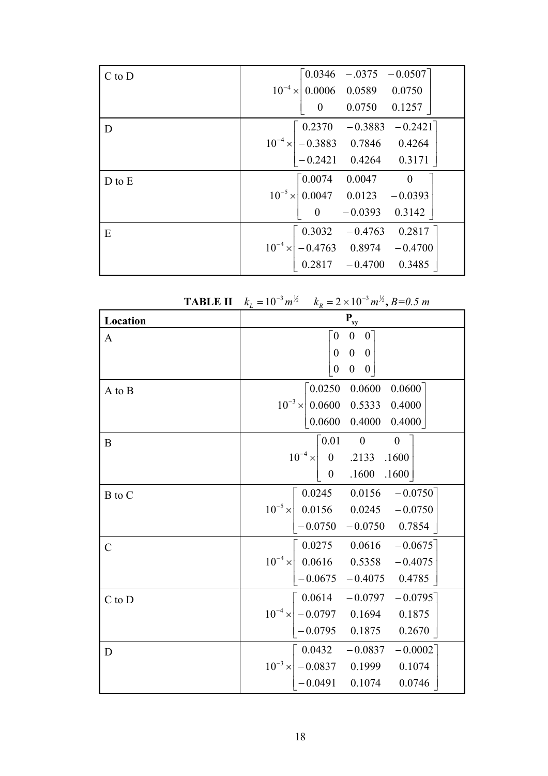| $C$ to $D$ | $10^{-4} \times \begin{bmatrix} 0.0346 & -.0375 & -0.0507 \\ 0.0006 & 0.0589 & 0.0750 \end{bmatrix}$                                        |
|------------|---------------------------------------------------------------------------------------------------------------------------------------------|
|            |                                                                                                                                             |
|            | 0.0750 0.1257<br>$\overline{\mathbf{0}}$                                                                                                    |
| D          | $\begin{array}{ c ccccc } \hline &0.2370&-0.3883&-0.2421\\ \hline 10^{-4}\times &-0.3883&0.7846&0.4264\\ -0.2421&0.4264&0.3171 \end{array}$ |
|            |                                                                                                                                             |
|            |                                                                                                                                             |
| $D$ to $E$ | $\begin{bmatrix} 0.0074 & 0.0047 & 0 \end{bmatrix}$                                                                                         |
|            | $10^{-5} \times 0.0047$ 0.0123 -0.0393                                                                                                      |
|            | $-0.0393$ 0.3142<br>$\overline{0}$                                                                                                          |
| E          | $10^{-4} \times \begin{bmatrix} 0.3032 & -0.4763 & 0.2817 \\ -0.4763 & 0.8974 & -0.4700 \\ 0.2817 & -0.4700 & 0.3485 \end{bmatrix}$         |
|            |                                                                                                                                             |
|            |                                                                                                                                             |

| TADLE II      | $\kappa_L = 10$ $m^2$ $\kappa_R = 2 \times 10$ $m^3$ , $D = 0.3$ m                                                                                                |
|---------------|-------------------------------------------------------------------------------------------------------------------------------------------------------------------|
| Location      | $\mathbf{P}_{\textrm{xy}}$                                                                                                                                        |
| $\mathbf{A}$  | $\bar{0}$<br>$\boldsymbol{0}$<br>$\overline{0}$<br>$0 \quad 0$<br>$\boldsymbol{0}$<br>$\mathbf{0}$<br>$\boldsymbol{0}$<br>$\overline{0}$                          |
| A to B        | 0.0250<br>0.0600<br>0.0600<br>$10^{-3} \times 0.0600$ 0.5333 0.4000<br>$0.0600 \quad 0.4000$<br>0.4000                                                            |
| $\bf{B}$      | $\mathbf{0}$<br>$\mathbf{0}$<br>$\lceil 0.01 \rceil$<br>$ 10^{-4} \times   0$ .2133 .1600<br>$0$ .1600 .1600                                                      |
| B to C        | $0.0245$ 0.0156<br>$-0.0750$<br>$10^{-5} \times \begin{array}{ l} 0.0156 & 0.0245 & -0.0750 \end{array}$<br>$-0.0750 -0.0750 0.7854$                              |
| $\mathcal{C}$ | $10^{-4} \times \begin{bmatrix} 0.0275 & 0.0616 & -0.0675 \\ 0.0616 & 0.5358 & -0.4075 \end{bmatrix}$<br>$-0.0675$ $-0.4075$ 0.4785                               |
| $C$ to $D$    | $\begin{bmatrix} 0.0614 & -0.0797 & -0.0795 \end{bmatrix}$<br>$10^{-4} \times \begin{vmatrix} -0.0797 & 0.1694 & 0.1875 \end{vmatrix}$<br>$-0.0795$ 0.1875 0.2670 |
| D             | $0.0432 - 0.0837 - 0.0002$<br>$10^{-3} \times \begin{vmatrix} -0.0837 & 0.1999 & 0.1074 \\ -0.0491 & 0.1074 & 0.0746 \end{vmatrix}$                               |

|  | <b>TABLE II</b> $k_L = 10^{-3} m^{\frac{1}{2}}$ $k_R = 2 \times 10^{-3} m^{\frac{1}{2}}$ , $B = 0.5 m$ |  |  |
|--|--------------------------------------------------------------------------------------------------------|--|--|
|--|--------------------------------------------------------------------------------------------------------|--|--|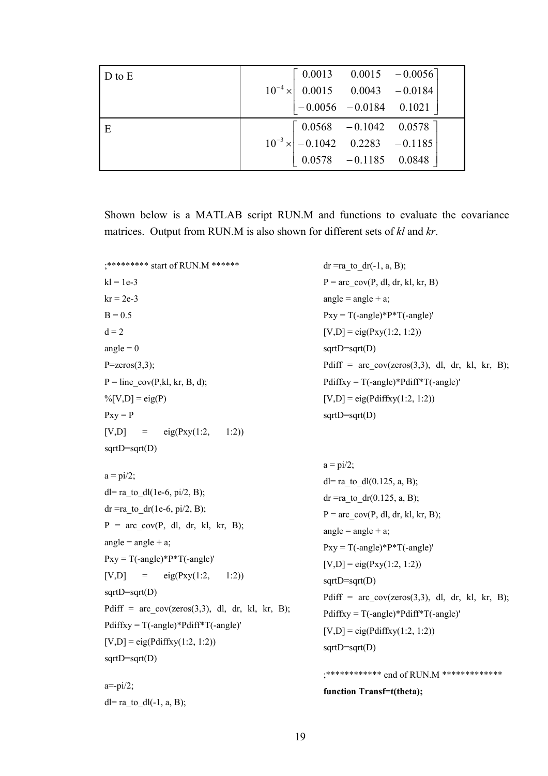| $D$ to $E$ |                                                                                                                                                          |
|------------|----------------------------------------------------------------------------------------------------------------------------------------------------------|
|            | $10^{-4} \times \begin{bmatrix} 0.0013 & 0.0015 & -0.0056 \\ 0.0015 & 0.0043 & -0.0184 \end{bmatrix}$                                                    |
|            | $\begin{vmatrix} -0.0056 & -0.0184 & 0.1021 \end{vmatrix}$                                                                                               |
| E          | $\begin{array}{c cc}\n\hline\n0.0568 & -0.1042 & 0.0578 \\ \hline\n10^{-3} \times \begin{vmatrix} -0.1042 & 0.2283 & -0.1185 \end{vmatrix}\n\end{array}$ |
|            |                                                                                                                                                          |
|            | $\begin{vmatrix} 0.0578 & -0.1185 & 0.0848 \end{vmatrix}$                                                                                                |

Shown below is a MATLAB script RUN.M and functions to evaluate the covariance matrices. Output from RUN.M is also shown for different sets of *kl* and *kr*.

```
;******** start of RUN.M ****** denotes the dr =ra to dr(-1, a, B);
k = 1e-3 P = \text{arc cov}(P, d1, dr, kt, kr, B)kr = 2e-3 angle = angle + a;
B = 0.5 Pxy = T(-angle)*P*T(-angle)'
d = 2 [V,D] = eig(Pxy(1:2, 1:2))
angle = 0 sqrtD=sqrt(D)Pdiff = arc_{cov(zeros(3,3), dl, dr, kl, kr, B)};
                                         Pdiffxy = T(-angle)*Pdiff*T(-angle)'P = zeros(3,3);P = line cov(P, kl, kr, B, d);\% [V,D] = eig(P) [V,D] = eig(Pdiffxy(1:2, 1:2))
Pxy = P sqrtD=sqrt(D)[V,D] = eig(Pxy(1:2, 1:2))sqrt(D)=sqrt(D)a = \pi i/2;
a = \frac{pi}{2}; dl= ra_to_dl(0.125, a, B);
dl= ra_to_dl(1e-6, pi/2, B); dr =ra_to_dr(0.125, a, B);
dr =ra_to_dr(1e-6, pi/2, B); P = \text{arc} \text{ cov}(P, \text{dl}, \text{dr}, \text{kl}, \text{kr}, B);P = arc cov(P, dl, dr, kl, kr, B);angle = angle + a;
                                         angle = angle + a;
                                         Pxy = T(-angle)*P*T(-angle)'Pxy = T(-angle)*P*T(-angle)' [V,D] = eig(Pxy(1:2, 1:2))
[V,D] = eig(Pxy(1:2, 1:2))sqrtD=sqrt(D) 
                                         sqrtD=sqrt(D) 
                                         Pdiff = arc cov(zeros(3,3), dl, dr, kl, kr, B);
Pdiff = arc_{cov}(zeros(3,3), \, dl, \, dr, \, kl, \, kr, \, B); Pdiffxy = T(\text{-angle})^*Pdiff*T(-angle)'
Pdiffxy = T(-angle)*Pdiff*T(-angle)' [V,D] = eig(Pdiffxy(1:2, 1:2))[V,D] = eig(Pdiffxy(1:2, 1:2)) sqrtD=sqrt(D)sqrtD=sqrt(D) 
                                         ;************ end of RUN.M ************* 
a=-pi/2; function Transf=t(theta); 
dl= ra to dl(-1, a, B);
```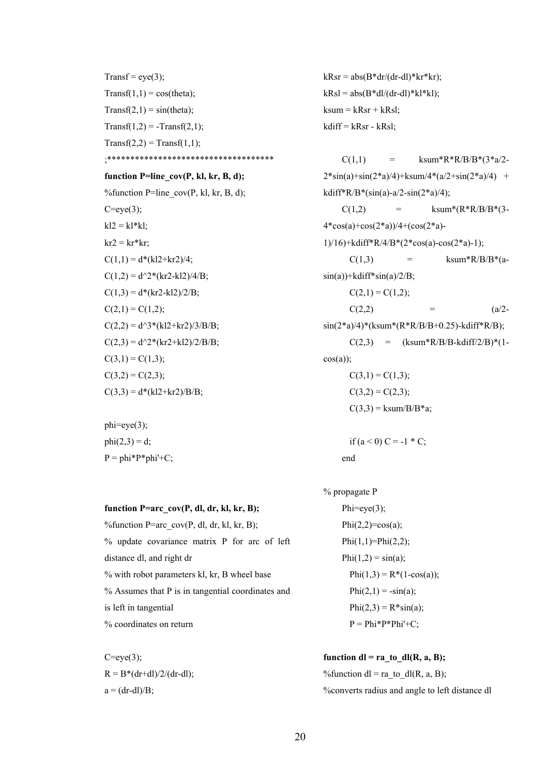Transf = eye(3); kRsr =  $abs(B*dr/(dr-dI)*kr*kr)$ ; Transf(1,1) = cos(theta);<br> $kRsl = abs(B*dl/(dr-dl)*kl*kl);$  $Transf(2,1) = sin(theta);$  ksum = kRsr + kRsl;  $Transf(1,2) = -Transf(2,1);$  kdiff = kRsr - kRsl;  $Transf(2,2) = Transf(1,1);$ ;\*\*\*\*\*\*\*\*\*\*\*\*\*\*\*\*\*\*\*\*\*\*\*\*\*\*\*\*\*\*\*\*\*\*\*\* function P=line\_cov(P, kl, kr, B, d); % function P=line\_cov(P, kl, kr, B, d);  $C=eye(3);$  $kl2 = kl*kl;$  $kr2 = kr*kr;$  $C(1,1) = d*(kl2+kr2)/4;$  $C(1,2) = d^{2*}(kr2 - kl2)/4/B;$  $C(1,3) = d*(kr2-kl2)/2/B;$   $C(2,1) = C(1,2);$  $C(2,1) = C(1,2);$  $C(2,2) = d^{3*}(k2+kr2)/3/B/B;$  $C(2,3) = d^{2}*(kr2+kl2)/2/B/B;$  $C(3,1) = C(1,3);$  $C(3,2) = C(2,3);$ <br> $C(3,1) = C(1,3);$  $C(3,3) = d*(kl2+kr2)/B/B;$   $C(3,2) = C(2,3);$ 

phi=eye(3);  $P = phi*P * phi'+C;$  end

**function P=arc\_cov(P, dl, dr, kl, kr, B);** Phi=eye(3); %function  $P=arc\_cov(P, dl, dr, kl, kr, B);$   $Phi(2,2)=cos(a);$ % update covariance matrix P for arc of left  $\text{Phi}(1,1)=\text{Phi}(2,2);$ distance dl, and right dr  $Phi(1,2) = sin(a);$ % with robot parameters kl, kr, B wheel base  $Phi(1,3) = R*(1-\cos(a));$ % Assumes that P is in tangential coordinates and Phi(2,1) =  $-sin(a)$ ; is left in tangential  $Phi(2,3) = R^*sin(a);$ % coordinates on return  $P = Phi * P * Phi' + C$ ;

 $C(1,1)$  = ksum\*R\*R/B/B\*(3\*a/2- $2*\sin(a)+\sin(2*a)/4)+k\sin(4*(a/2+\sin(2*a)/4) +$ kdiff\*R/B\*(sin(a)-a/2-sin(2\*a)/4);  $C(1,2)$  = ksum\*(R\*R/B/B\*(3-4\*cos(a)+cos(2\*a))/4+(cos(2\*a)- 1)/16)+kdiff\*R/4/B\*(2\*cos(a)-cos(2\*a)-1);  $C(1,3)$  = ksum\*R/B/B\*(a $sin(a)$ )+kdiff\* $sin(a)/2/B$ ;  $C(2,2)$  = (a/2- $\sin(2^*a)/4$ <sup>\*</sup>(ksum<sup>\*</sup>(R\*R/B/B+0.25)-kdiff<sup>\*</sup>R/B);  $C(2,3) =$  (ksum\*R/B/B-kdiff/2/B)\*(1 $cos(a)$ ;  $C(3,3) = ksum/B/B* a;$ phi(2,3) = d; if  $(a < 0)$  C = -1  $^*$  C;

% propagate P

 $C=eye(3);$  **function dl = ra\_to\_dl(R, a, B);**  $R = B^*(dr + dl)/2/(dr - dl);$  % % % % where  $dl = ra$  to  $dl(R, a, B);$ a = (dr-dl)/B; %converts radius and angle to left distance dl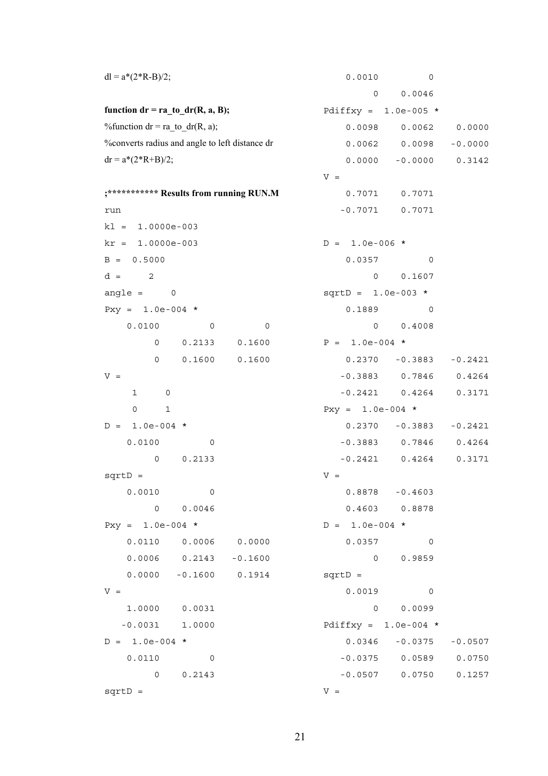| $dl = a*(2*R-B)/2;$                            |        | 0.0010                 | 0                          |           |
|------------------------------------------------|--------|------------------------|----------------------------|-----------|
|                                                |        | 0                      | 0.0046                     |           |
| function $dr = ra_to/dr(R, a, B);$             |        | Pdiffxy = $1.0e-005$ * |                            |           |
| % function $dr = ra_to/dr(R, a)$ ;             |        | 0.0098                 | 0.0062                     | 0.0000    |
| %converts radius and angle to left distance dr |        |                        | $0.0062$ $0.0098$          | $-0.0000$ |
| $dr = a*(2*R+B)/2;$                            |        | 0.0000                 | $-0.0000$                  | 0.3142    |
|                                                |        | $V =$                  |                            |           |
| ;*********** Results from running RUN.M        |        |                        | $0.7071$ $0.7071$          |           |
| run                                            |        | $-0.7071$              | 0.7071                     |           |
| $k1 = 1.0000e-003$                             |        |                        |                            |           |
| $kr = 1.0000e-003$                             |        | $D = 1.0e-006$ *       |                            |           |
| $B = 0.5000$                                   |        | 0.0357                 | 0                          |           |
| $d =$<br>2                                     |        | 0                      | 0.1607                     |           |
| angle = $0$                                    |        | $sqrt{1.0e-003}$ *     |                            |           |
| Pxy = $1.0e-004$ *                             |        | 0.1889                 | 0                          |           |
| 0.0100<br>$\mathbf 0$                          | 0      | 0                      | 0.4008                     |           |
| 0.2133<br>0                                    | 0.1600 | $P = 1.0e-004$ *       |                            |           |
| $\mathsf{O}$<br>0.1600                         | 0.1600 |                        | $0.2370 - 0.3883$          | $-0.2421$ |
| $V =$                                          |        |                        | $-0.3883$ 0.7846           | 0.4264    |
| 1<br>0                                         |        |                        | $-0.2421$ 0.4264           | 0.3171    |
| 0<br>$\mathbf{1}$                              |        | $Pxy = 1.0e-004$ *     |                            |           |
| $D = 1.0e-004$ *                               |        |                        | $0.2370 -0.3883 -0.2421$   |           |
| 0.0100<br>0                                    |        |                        | $-0.3883$ 0.7846 0.4264    |           |
| 0.2133<br>0                                    |        | $-0.2421$              | 0.4264                     | 0.3171    |
| $sqrt{D}$ =                                    |        | $V =$                  |                            |           |
| 0.0010<br>$\overline{\mathbf{0}}$              |        |                        | $0.8878 - 0.4603$          |           |
| 0 0.0046                                       |        |                        | $0.4603$ 0.8878            |           |
| $Pxy = 1.0e-004$ *                             |        | $D = 1.0e-004$ *       |                            |           |
| $0.0110$ $0.0006$ $0.0000$                     |        |                        | $0.0357$ 0                 |           |
| $0.0006$ $0.2143$ $-0.1600$                    |        |                        | 0 0.9859                   |           |
| $0.0000 - 0.1600 0.1914$                       |        | $sqrt{D}$ =            |                            |           |
| $V =$                                          |        |                        | $0.0019$ 0                 |           |
| 1.0000 0.0031                                  |        |                        | 0 0.0099                   |           |
| $-0.0031$ 1.0000                               |        | Pdiffxy = $1.0e-004$ * |                            |           |
| $D = 1.0e-004$ *                               |        |                        | $0.0346 - 0.0375 - 0.0507$ |           |
| $0.0110$ 0                                     |        |                        | $-0.0375$ 0.0589 0.0750    |           |
| 0 0.2143                                       |        |                        | $-0.0507$ 0.0750           | 0.1257    |
| $sqrt{p} =$                                    |        | $V =$                  |                            |           |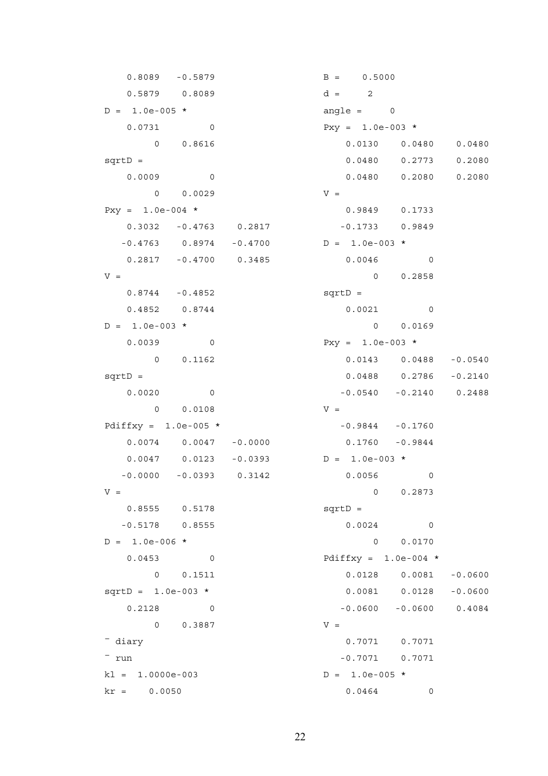$0.8089 - 0.5879$  B = 0.5000  $0.5879$  0.8089 d = 2  $D = 1.0e-005$  \* angle = 0  $0.0731$  0 Pxy = 1.0e-003 \* 0 0.0029 V =  $Pxy = 1.0e-004$  \* 0.9849 0.1733 0.3032 -0.4763 0.2817 -0.1733 0.9849  $-0.4763$  0.8974  $-0.4700$  D = 1.0e-003 \* 0.2817 -0.4700 0.3485 0.0046 0  $V = 0$  0.2858 0.8744 - 0.4852 sqrtD = 0.4852 0.8744 0.0021 0  $D = 1.0e-003$  \* 0 0.0169 0.0039 0 Pxy = 1.0e-003 \* 0 0.0108 V = Pdiffxy =  $1.0e-005$  \*  $-0.9844$   $-0.1760$  0.0074 0.0047 -0.0000 0.1760 -0.9844  $0.0047$  0.0123 -0.0393 D = 1.0e-003 \* -0.0000 -0.0393 0.3142 0.0056 0  $V = 0$  0.2873 0.8555 0.5178 sqrtD = -0.5178 0.8555 0.0024 0  $D = 1.0e-006$  \* 0 0.0170 0.0453 0 Pdiffxy = 1.0e-004 \*  $0 \t 0.3887$  V = <sup>-</sup> diary 0.7071 0.7071  $-$  run  $-0.7071$   $0.7071$  $k = 1.0000e-003$   $D = 1.0e-005$  \*  $kr = 0.0050$  0.0464 0

 0 0.8616 0.0130 0.0480 0.0480 sqrtD = 0.0480 0.2773 0.2080 0.0009 0 0.0480 0.2080 0.2080 0 0.1162 0.0143 0.0488 -0.0540 sqrtD = 0.0488 0.2786 -0.2140 0.0020 0 -0.0540 -0.2140 0.2488 0 0.1511 0.0128 0.0081 -0.0600  $sqrt{10} = 1.0e-003$  \* 0.0081 0.0128 -0.0600  $0.2128$  0 0 -0.0600 -0.0600 0.4084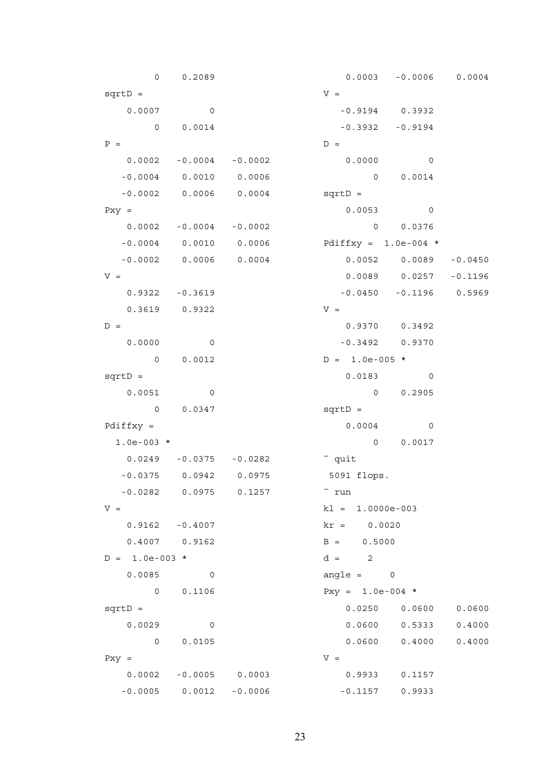0 0.2089 0.0003 -0.0006 0.0004  $sqrt{V}$  =  $V =$  $0.0007$  0 0  $-0.9194$  0.3932  $0 \qquad 0.0014$  -0.3932 -0.9194  $P =$   $D =$  0.0002 -0.0004 -0.0002 0.0000 0  $-0.0004$  0.0010 0.0006 0 0.0014 -0.0002 0.0006 0.0004 sqrtD =  $Pxy = 0.0053$  0 0.0002 -0.0004 -0.0002 0 0.0376 -0.0004 0.0010 0.0006 Pdiffxy = 1.0e-004 \* -0.0002 0.0006 0.0004 0.0052 0.0089 -0.0450  $V =$  0.0089 0.0257 -0.1196 0.9322 -0.3619 -0.0450 -0.1196 0.5969  $0.3619$   $0.9322$   $V =$  $D =$  0.9370 0.3492 0.0000 0 -0.3492 0.9370 0 0.0012  $D = 1.0e-005$  \*  $sqrt{D} = 0.0183$  0  $0.0051$  0 0.2905  $0 \t 0.0347$  sqrtD =  $Pdiffxy = 0.0004$  0 1.0e-003 \* 0 0.0017  $0.0249$  -0.0375 -0.0282  $-$  quit -0.0375 0.0942 0.0975 5091 flops.  $-0.0282$   $0.0975$   $0.1257$   $\frac{1}{2}$   $\frac{1}{2}$   $\frac{1}{2}$   $\frac{1}{2}$   $\frac{1}{2}$   $\frac{1}{2}$   $\frac{1}{2}$   $\frac{1}{2}$   $\frac{1}{2}$   $\frac{1}{2}$   $\frac{1}{2}$   $\frac{1}{2}$   $\frac{1}{2}$   $\frac{1}{2}$   $\frac{1}{2}$   $\frac{1}{2}$   $\frac{1}{2}$   $\frac{1}{2}$   $\frac{1}{2}$   $\frac$  $V =$  kl = 1.0000e-003 0.9162 -0.4007 kr = 0.0020  $0.4007$  0.9162 B = 0.5000  $D = 1.0e-003$  \*  $d = 2$ 0.0085 0 angle = 0 0 0.1106 Pxy = 1.0e-004 \* sqrtD = 0.0250 0.0600 0.0600 0.0600 0.0600 0.0600 0.0600 0.0600 0.0600 0.0600 0.0600 0.0600 0.0600 0.0600 0.060 0.0029 0 0.0600 0.5333 0.4000 0 0.0105 0.0600 0.4000 0.4000  $Pxy = V$  0.0002 -0.0005 0.0003 0.9933 0.1157  $-0.0005$  0.0012  $-0.0006$   $-0.1157$  0.9933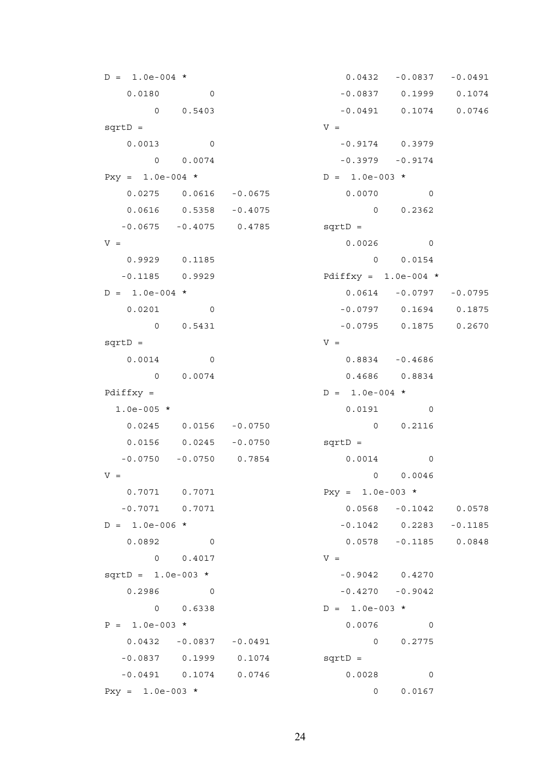$D = 1.0e-004$  \* 0.0432 -0.0837 -0.0491 0.0180 0 0 -0.0837 0.1999 0.1074 0 0.5403 -0.0491 0.1074 0.0746  $sqrt{V}$  =  $0.0013$  0 -0.9174 0.3979  $0 \t 0.0074$  -0.3979 -0.9174  $Pxy = 1.0e-004$  \*  $D = 1.0e-003$  \* 0.0275 0.0616 -0.0675 0.0070 0 0.0616 0.5358 -0.4075 0 0.2362 -0.0675 -0.4075 0.4785 sqrtD =  $V = 0.0026$  0 0.9929 0.1185 0 0.0154 -0.1185 0.9929 Pdiffxy = 1.0e-004 \*  $D = 1.0e-004$  \* 0.0614 -0.0797 -0.0795 0.0201 0 -0.0797 0.1694 0.1875 0 0.5431 -0.0795 0.1875 0.2670  $sqrt{V}$  =  $V$  = 0.0014 0 0.8834 -0.4686 0 0.0074 0.4686 0.8834 Pdiffxy =  $D = 1.0e-004$  \* 1.0e-005 \* 0.0191 0 0.0245 0.0156 -0.0750 0 0.2116 0.0156 0.0245 -0.0750 sqrtD = -0.0750 -0.0750 0.7854 0.0014 0  $V = 0$  0.0046 0.7071 0.7071 Pxy = 1.0e-003 \* -0.7071 0.7071 0.0568 -0.1042 0.0578  $D = 1.0e-006$  \*  $-0.1042$  0.2283 -0.1185 0.0892 0 0.0578 -0.1185 0.0848  $0 \t 0.4017$  V =  $sqrt{10} = 1.0e-003$  \*  $-0.9042$  0.4270  $0.2986$  0 0  $-0.4270$   $-0.9042$ 0 0.6338  $D = 1.0e-003$  \*  $P = 1.0e-003$  \* 0.0076 0 0.0432 -0.0837 -0.0491 0 0.2775 -0.0837 0.1999 0.1074 sqrtD = -0.0491 0.1074 0.0746 0.0028 0  $Pxy = 1.0e-003$  \* 0 0.0167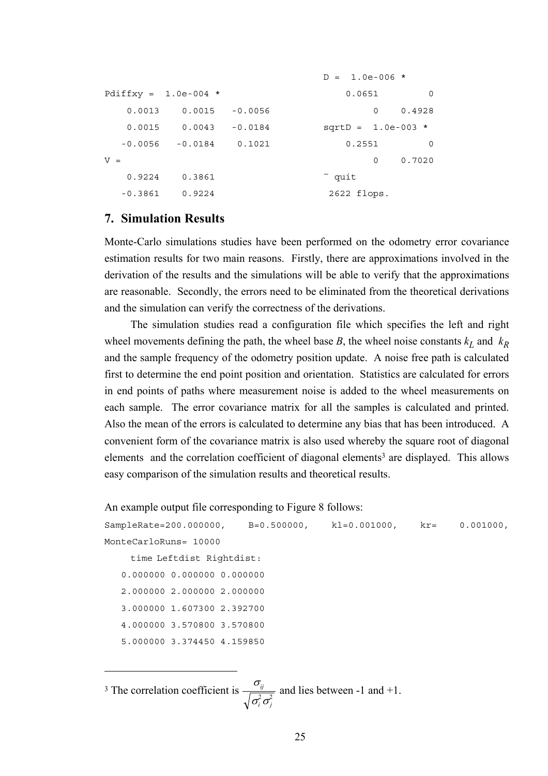```
D = 1.0e-006 *
Pdiffxy = 1.0e-004 * 0.0651 0
   0.0013 0.0015 -0.0056 0 0.4928 
  0.0015  0.0043  -0.0184   sqrtD = 1.0e-003 *
  -0.0056 -0.0184 0.1021 0.2551 0 
V = 0 0.7020
  0.9224 0.3861 quit
 -0.3861  0.9224  2622 flops.
```
## **7. Simulation Results**

 $\overline{a}$ 

Monte-Carlo simulations studies have been performed on the odometry error covariance estimation results for two main reasons. Firstly, there are approximations involved in the derivation of the results and the simulations will be able to verify that the approximations are reasonable. Secondly, the errors need to be eliminated from the theoretical derivations and the simulation can verify the correctness of the derivations.

The simulation studies read a configuration file which specifies the left and right wheel movements defining the path, the wheel base *B*, the wheel noise constants  $k_L$  and  $k_R$ and the sample frequency of the odometry position update. A noise free path is calculated first to determine the end point position and orientation. Statistics are calculated for errors in end points of paths where measurement noise is added to the wheel measurements on each sample. The error covariance matrix for all the samples is calculated and printed. Also the mean of the errors is calculated to determine any bias that has been introduced. A convenient form of the covariance matrix is also used whereby the square root of diagonal elements and the correlation coefficient of diagonal elements<sup>3</sup> are displayed. This allows easy comparison of the simulation results and theoretical results.

An example output file corresponding to Figure 8 follows:

```
SampleRate=200.000000, B=0.500000, kl=0.001000, kr= 0.001000, 
MonteCarloRuns= 10000 
     time Leftdist Rightdist: 
    0.000000 0.000000 0.000000 
    2.000000 2.000000 2.000000 
    3.000000 1.607300 2.392700 
    4.000000 3.570800 3.570800 
    5.000000 3.374450 4.159850
```
<span id="page-24-0"></span><sup>&</sup>lt;sup>3</sup> The correlation coefficient is  $\frac{\sigma_i}{\sqrt{2}}$ σ σ *ij i j*  $\frac{y}{2}$  and lies between -1 and +1.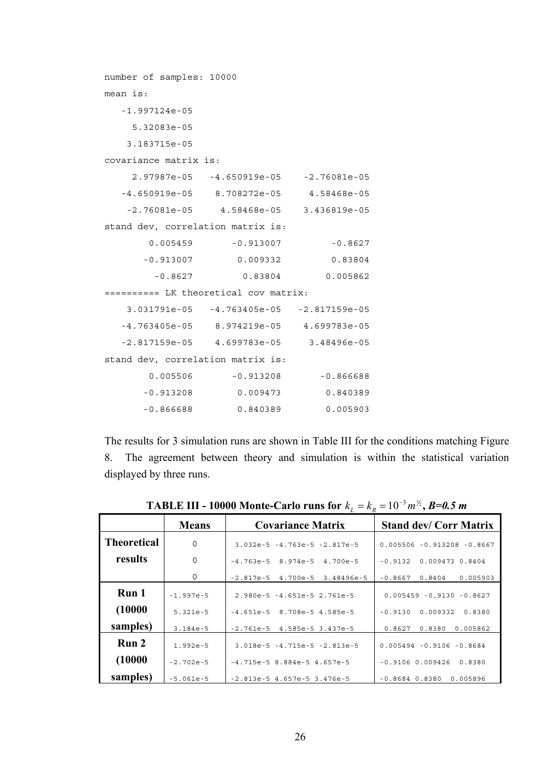| number of samples: 10000              |                                            |             |
|---------------------------------------|--------------------------------------------|-------------|
| $mean$ is:                            |                                            |             |
| $-1.997124e-05$                       |                                            |             |
| 5.32083e-05                           |                                            |             |
| 3.183715e-05                          |                                            |             |
| covariance matrix is:                 |                                            |             |
|                                       | 2.97987e-05 -4.650919e-05 -2.76081e-05     |             |
|                                       | $-4.650919e-05$ 8.708272e-05 4.58468e-05   |             |
|                                       | $-2.76081e-05$ 4.58468e-05 3.436819e-05    |             |
| stand dev, correlation matrix is:     |                                            |             |
|                                       | $0.005459 - 0.913007$                      | $-0.8627$   |
|                                       | $-0.913007$ 0.009332                       | 0.83804     |
| $-0.8627$                             | 0.83804                                    | 0.005862    |
| ========== LK theoretical cov matrix: |                                            |             |
|                                       | $3.031791e-05 -4.763405e-05 -2.817159e-05$ |             |
|                                       | $-4.763405e-05$ 8.974219e-05 4.699783e-05  |             |
|                                       | $-2.817159e-05$ 4.699783e-05 3.48496e-05   |             |
| stand dev, correlation matrix is:     |                                            |             |
|                                       | $0.005506$ -0.913208                       | $-0.866688$ |
| $-0.913208$                           | 0.009473                                   | 0.840389    |
| $-0.866688$                           | 0.840389                                   | 0.005903    |

The results for 3 simulation runs are shown in Table III for the conditions matching Figure 8. The agreement between theory and simulation is within the statistical variation displayed by three runs.

|                    | <b>Means</b> | <b>Covariance Matrix</b>        | <b>Stand dev/ Corr Matrix</b>   |
|--------------------|--------------|---------------------------------|---------------------------------|
| <b>Theoretical</b> | $\Omega$     | $3.032e-5 -4.763e-5 -2.817e-5$  | $0.005506 - 0.913208 - 0.8667$  |
| results            | $\Omega$     | $-4.763e-5$ 8.974e-5 4.700e-5   | 0.009473 0.8404<br>$-0.9132$    |
|                    | 0            | $-2.817e-5$ 4.700e-5 3.48496e-5 | $-0.8667$<br>0.8404<br>0.005903 |
| Run 1              | $-1.997e-5$  | $2.980e-5 -4.651e-5 2.761e-5$   | $0.005459 - 0.9130 - 0.8627$    |
| (10000)            | $5.321e-5$   | $-4.651e-5$ 8.708e-5 4.585e-5   | $-0.9130$<br>0.009332<br>0.8380 |
| samples)           | $3.184e-5$   | $-2.761e-5$ 4.585e-5 3.437e-5   | 0.8627<br>0.8380<br>0.005862    |
| Run 2              | $1.992e-5$   | $3.018e-5 -4.715e-5 -2.813e-5$  | $0.005494 - 0.9106 - 0.8684$    |
| (10000)            | $-2.702e-5$  | $-4.715e-58.884e-54.657e-5$     | $-0.9106$ $0.009426$<br>0.8380  |
| samples)           | $-5.061e-5$  | $-2.813e-5$ 4.657e-5 3.476e-5   | $-0.8684$ $0.8380$<br>0.005896  |

**TABLE III - 10000 Monte-Carlo runs for**  $k_L = k_R = 10^{-3} m^{\frac{1}{2}}$ , *B=0.5 m*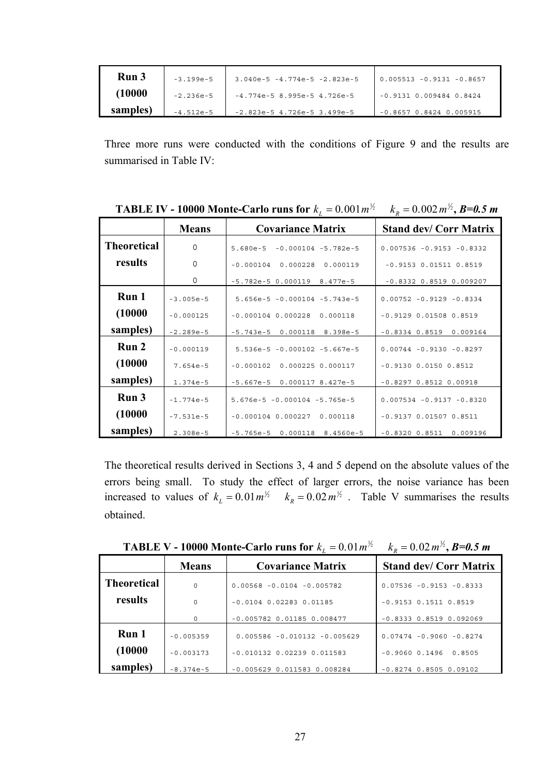| Run 3    | $-3.199 - 5$ | $3.040e-5 -4.774e-5 -2.823e-5$ | $0.005513 - 0.9131 - 0.8657$ |
|----------|--------------|--------------------------------|------------------------------|
| (10000   | $-2.236e-5$  | $-4.774e-58.995e-54.726e-5$    | $-0.9131$ 0.009484 0.8424    |
| samples) | $-4.512e-5$  | $-2.823e-5$ 4.726e-5 3.499e-5  | $-0.8657$ $0.8424$ 0.005915  |

Three more runs were conducted with the conditions of Figure 9 and the results are summarised in Table IV:

|                    | <b>Means</b> | <b>Covariance Matrix</b>               | <b>Stand dev/ Corr Matrix</b>  |
|--------------------|--------------|----------------------------------------|--------------------------------|
| <b>Theoretical</b> | $\Omega$     | $5.680e-5$<br>$-0.000104 - 5.782e - 5$ | $0.007536 - 0.9153 - 0.8332$   |
| results            | $\mathbf 0$  | $-0.000104$<br>0.000228<br>0.000119    | $-0.9153$ $0.01511$ $0.8519$   |
|                    | $\mathbf 0$  | $-5.782e-5$ 0.000119<br>8.477e-5       | $-0.8332$ $0.8519$ $0.009207$  |
| Run 1              | $-3.005e-5$  | $5.656e-5 - 0.000104 - 5.743e-5$       | $0.00752 - 0.9129 - 0.8334$    |
| (10000)            | $-0.000125$  | $-0.000104$ 0.000228<br>0.000118       | $-0.9129$ 0.01508 0.8519       |
| samples)           | $-2.289e-5$  | $-5.743e-5$ 0.000118<br>8.398e-5       | $-0.8334$ $0.8519$ 0.009164    |
| Run 2              | $-0.000119$  | $5.536e-5 - 0.000102 - 5.667e-5$       | $0.00744 - 0.9130 - 0.8297$    |
| (10000)            | $7.654e-5$   | $-0.000102$<br>0.000225 0.000117       | $-0.9130$ $0.0150$ $0.8512$    |
| samples)           | $1.374e-5$   | $-5.667e-5$<br>0.000117 8.427e-5       | $-0.8297$ $0.8512$ 0.00918     |
| Run 3              | $-1.774e-5$  | $5.676e-5 - 0.000104 - 5.765e-5$       | $0.007534 - 0.9137 - 0.8320$   |
| (10000)            | $-7.531e-5$  | $-0.000104$ 0.000227<br>0.000118       | $-0.9137$ 0.01507 0.8511       |
| samples)           | $2.308e-5$   | $-5.765e-5$<br>0.000118<br>8.4560e-5   | $-0.8320$ $0.8511$<br>0.009196 |

**TABLE IV - 10000 Monte-Carlo runs for**  $k_L = 0.001 m^{\frac{1}{2}}$   $k_R = 0.002 m^{\frac{1}{2}}$ , *B=0.5 m* 

The theoretical results derived in Sections 3, 4 and 5 depend on the absolute values of the errors being small. To study the effect of larger errors, the noise variance has been increased to values of  $k_L = 0.01 \, m^{1/2}$   $k_R = 0.02 \, m^{1/2}$ . Table V summarises the results obtained.

|                    | <b>Means</b> | <b>Covariance Matrix</b>         | <b>Stand dev/ Corr Matrix</b> |
|--------------------|--------------|----------------------------------|-------------------------------|
| <b>Theoretical</b> | $\Omega$     | $0.00568 - 0.0104 - 0.005782$    | $0.07536 - 0.9153 - 0.8333$   |
| results            | $\Omega$     | $-0.0104$ 0.02283 0.01185        | $-0.9153$ $0.1511$ $0.8519$   |
|                    | $\mathbf 0$  | $-0.005782$ 0.01185 0.008477     | $-0.8333$ $0.8519$ $0.092069$ |
| Run 1              | $-0.005359$  | $0.005586 - 0.010132 - 0.005629$ | $0.07474 - 0.9060 - 0.8274$   |
| (10000)            | $-0.003173$  | $-0.010132$ 0.02239 0.011583     | $-0.9060$ $0.1496$<br>0.8505  |
| samples)           | $-8.374e-5$  | $-0.005629$ 0.011583 0.008284    | $-0.8274$ 0.8505 0.09102      |

**TABLE V - 10000 Monte-Carlo runs for**  $k_L = 0.01 m^{1/2}$   $k_R = 0.02 m^{1/2}$ , *B***=0.5 m**